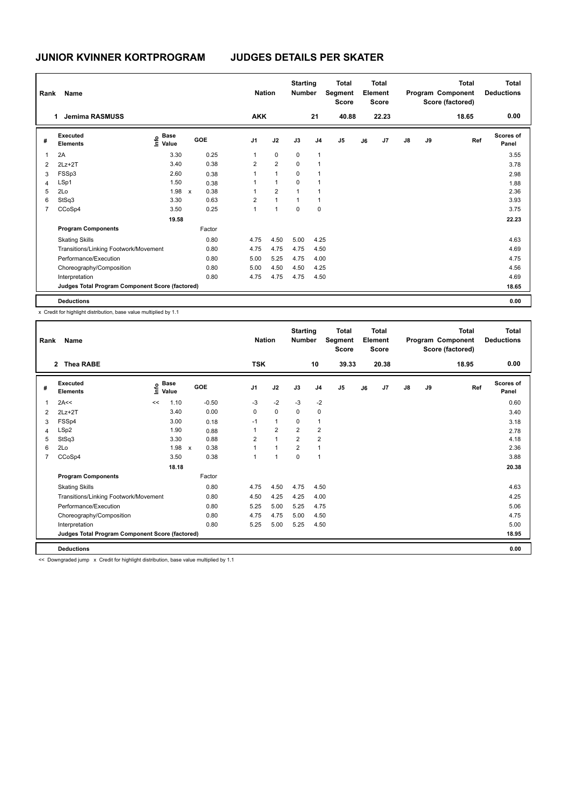| Rank           | Name                                            |                           |              |        |                | <b>Nation</b>  | <b>Starting</b><br><b>Number</b> |                | <b>Total</b><br>Segment<br><b>Score</b> |    | <b>Total</b><br>Element<br><b>Score</b> |    |    | <b>Total</b><br>Program Component<br>Score (factored) | Total<br><b>Deductions</b> |
|----------------|-------------------------------------------------|---------------------------|--------------|--------|----------------|----------------|----------------------------------|----------------|-----------------------------------------|----|-----------------------------------------|----|----|-------------------------------------------------------|----------------------------|
|                | <b>Jemima RASMUSS</b><br>1                      |                           |              |        | <b>AKK</b>     |                |                                  | 21             | 40.88                                   |    | 22.23                                   |    |    | 18.65                                                 | 0.00                       |
| #              | Executed<br><b>Elements</b>                     | Base<br>o Base<br>E Value | GOE          |        | J <sub>1</sub> | J2             | J3                               | J <sub>4</sub> | J <sub>5</sub>                          | J6 | J7                                      | J8 | J9 | Ref                                                   | <b>Scores of</b><br>Panel  |
| 1              | 2A                                              | 3.30                      |              | 0.25   | 1              | $\mathbf 0$    | $\mathbf 0$                      | 1              |                                         |    |                                         |    |    |                                                       | 3.55                       |
| 2              | $2Lz+2T$                                        | 3.40                      |              | 0.38   | $\overline{2}$ | $\overline{2}$ | $\mathbf 0$                      | $\mathbf{1}$   |                                         |    |                                         |    |    |                                                       | 3.78                       |
| 3              | FSSp3                                           | 2.60                      |              | 0.38   | 1              | $\mathbf{1}$   | $\mathbf 0$                      | 1              |                                         |    |                                         |    |    |                                                       | 2.98                       |
| 4              | LSp1                                            | 1.50                      |              | 0.38   | 1              | $\mathbf{1}$   | $\mathbf 0$                      | $\overline{1}$ |                                         |    |                                         |    |    |                                                       | 1.88                       |
| 5              | 2Lo                                             | 1.98                      | $\mathsf{x}$ | 0.38   | 1              | $\overline{2}$ | $\overline{1}$                   | $\overline{1}$ |                                         |    |                                         |    |    |                                                       | 2.36                       |
| 6              | StSq3                                           | 3.30                      |              | 0.63   | $\overline{2}$ | $\mathbf{1}$   | $\mathbf{1}$                     | $\mathbf{1}$   |                                         |    |                                         |    |    |                                                       | 3.93                       |
| $\overline{7}$ | CCoSp4                                          | 3.50                      |              | 0.25   | 1              | $\mathbf{1}$   | 0                                | 0              |                                         |    |                                         |    |    |                                                       | 3.75                       |
|                |                                                 | 19.58                     |              |        |                |                |                                  |                |                                         |    |                                         |    |    |                                                       | 22.23                      |
|                | <b>Program Components</b>                       |                           |              | Factor |                |                |                                  |                |                                         |    |                                         |    |    |                                                       |                            |
|                | <b>Skating Skills</b>                           |                           |              | 0.80   | 4.75           | 4.50           | 5.00                             | 4.25           |                                         |    |                                         |    |    |                                                       | 4.63                       |
|                | Transitions/Linking Footwork/Movement           |                           |              | 0.80   | 4.75           | 4.75           | 4.75                             | 4.50           |                                         |    |                                         |    |    |                                                       | 4.69                       |
|                | Performance/Execution                           |                           |              | 0.80   | 5.00           | 5.25           | 4.75                             | 4.00           |                                         |    |                                         |    |    |                                                       | 4.75                       |
|                | Choreography/Composition                        |                           |              | 0.80   | 5.00           | 4.50           | 4.50                             | 4.25           |                                         |    |                                         |    |    |                                                       | 4.56                       |
|                | Interpretation                                  |                           |              | 0.80   | 4.75           | 4.75           | 4.75                             | 4.50           |                                         |    |                                         |    |    |                                                       | 4.69                       |
|                | Judges Total Program Component Score (factored) |                           |              |        |                |                |                                  |                |                                         |    |                                         |    |    |                                                       | 18.65                      |
|                | <b>Deductions</b>                               |                           |              |        |                |                |                                  |                |                                         |    |                                         |    |    |                                                       | 0.00                       |

x Credit for highlight distribution, base value multiplied by 1.1

| Rank           | Name                                            |      |                      |                      |                | <b>Nation</b>        | <b>Starting</b><br><b>Number</b> |                         | <b>Total</b><br>Segment<br><b>Score</b> |    | <b>Total</b><br>Element<br><b>Score</b> |               |    | <b>Total</b><br>Program Component<br>Score (factored) | <b>Total</b><br><b>Deductions</b> |
|----------------|-------------------------------------------------|------|----------------------|----------------------|----------------|----------------------|----------------------------------|-------------------------|-----------------------------------------|----|-----------------------------------------|---------------|----|-------------------------------------------------------|-----------------------------------|
|                | 2 Thea RABE                                     |      |                      |                      | <b>TSK</b>     |                      |                                  | 10                      | 39.33                                   |    | 20.38                                   |               |    | 18.95                                                 | 0.00                              |
| #              | Executed<br><b>Elements</b>                     | lnfo | <b>Base</b><br>Value | <b>GOE</b>           | J <sub>1</sub> | J2                   | J3                               | J <sub>4</sub>          | J <sub>5</sub>                          | J6 | J7                                      | $\mathsf{J}8$ | J9 | Ref                                                   | <b>Scores of</b><br>Panel         |
|                | 2A<<                                            | <<   | 1.10                 | $-0.50$              | -3             | $-2$                 | $-3$                             | $-2$                    |                                         |    |                                         |               |    |                                                       | 0.60                              |
| 2              | $2Lz+2T$                                        |      | 3.40                 | 0.00                 | 0              | $\mathbf 0$          | 0                                | 0                       |                                         |    |                                         |               |    |                                                       | 3.40                              |
| 3              | FSSp4                                           |      | 3.00                 | 0.18                 | $-1$           | $\mathbf{1}$         | 0                                | $\mathbf{1}$            |                                         |    |                                         |               |    |                                                       | 3.18                              |
| 4              | LSp2                                            |      | 1.90                 | 0.88                 |                | $\overline{2}$       | $\overline{2}$                   | $\overline{\mathbf{c}}$ |                                         |    |                                         |               |    |                                                       | 2.78                              |
| 5              | StSq3                                           |      | 3.30                 | 0.88                 | $\overline{2}$ | $\overline{1}$       | $\overline{2}$                   | $\overline{2}$          |                                         |    |                                         |               |    |                                                       | 4.18                              |
| 6              | 2Lo                                             |      | 1.98                 | 0.38<br>$\mathsf{x}$ |                | $\blacktriangleleft$ | $\overline{2}$                   | $\mathbf{1}$            |                                         |    |                                         |               |    |                                                       | 2.36                              |
| $\overline{7}$ | CCoSp4                                          |      | 3.50                 | 0.38                 |                | $\blacktriangleleft$ | $\Omega$                         | $\mathbf{1}$            |                                         |    |                                         |               |    |                                                       | 3.88                              |
|                |                                                 |      | 18.18                |                      |                |                      |                                  |                         |                                         |    |                                         |               |    |                                                       | 20.38                             |
|                | <b>Program Components</b>                       |      |                      | Factor               |                |                      |                                  |                         |                                         |    |                                         |               |    |                                                       |                                   |
|                | <b>Skating Skills</b>                           |      |                      | 0.80                 | 4.75           | 4.50                 | 4.75                             | 4.50                    |                                         |    |                                         |               |    |                                                       | 4.63                              |
|                | Transitions/Linking Footwork/Movement           |      |                      | 0.80                 | 4.50           | 4.25                 | 4.25                             | 4.00                    |                                         |    |                                         |               |    |                                                       | 4.25                              |
|                | Performance/Execution                           |      |                      | 0.80                 | 5.25           | 5.00                 | 5.25                             | 4.75                    |                                         |    |                                         |               |    |                                                       | 5.06                              |
|                | Choreography/Composition                        |      |                      | 0.80                 | 4.75           | 4.75                 | 5.00                             | 4.50                    |                                         |    |                                         |               |    |                                                       | 4.75                              |
|                | Interpretation                                  |      |                      | 0.80                 | 5.25           | 5.00                 | 5.25                             | 4.50                    |                                         |    |                                         |               |    |                                                       | 5.00                              |
|                | Judges Total Program Component Score (factored) |      |                      |                      |                |                      |                                  |                         |                                         |    |                                         |               |    |                                                       | 18.95                             |
|                | <b>Deductions</b>                               |      |                      |                      |                |                      |                                  |                         |                                         |    |                                         |               |    |                                                       | 0.00                              |

<< Downgraded jump x Credit for highlight distribution, base value multiplied by 1.1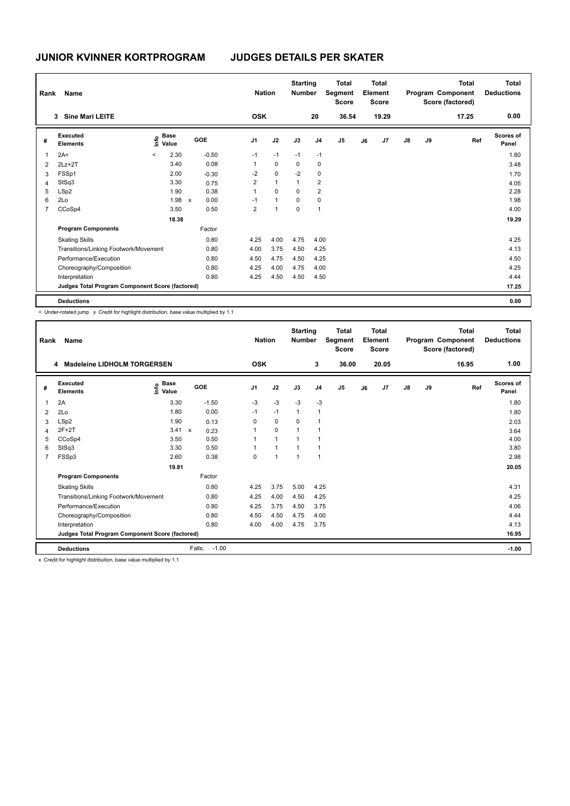| Rank | <b>Name</b>                                     |              |                       |              |         | <b>Nation</b>  |                | <b>Starting</b><br><b>Number</b> |                         | <b>Total</b><br>Segment<br><b>Score</b> |    | <b>Total</b><br>Element<br><b>Score</b> |               |    | Total<br>Program Component<br>Score (factored) | <b>Total</b><br><b>Deductions</b> |
|------|-------------------------------------------------|--------------|-----------------------|--------------|---------|----------------|----------------|----------------------------------|-------------------------|-----------------------------------------|----|-----------------------------------------|---------------|----|------------------------------------------------|-----------------------------------|
|      | <b>Sine Mari LEITE</b><br>3                     |              |                       |              |         | <b>OSK</b>     |                |                                  | 20                      | 36.54                                   |    | 19.29                                   |               |    | 17.25                                          | 0.00                              |
| #    | Executed<br><b>Elements</b>                     |              | $\sum_{i=1}^{n}$ Base |              | GOE     | J <sub>1</sub> | J2             | J3                               | J <sub>4</sub>          | J <sub>5</sub>                          | J6 | J <sub>7</sub>                          | $\mathsf{J}8$ | J9 | Ref                                            | Scores of<br>Panel                |
| 1    | 2A<                                             | $\checkmark$ | 2.30                  |              | $-0.50$ | $-1$           | $-1$           | $-1$                             | $-1$                    |                                         |    |                                         |               |    |                                                | 1.80                              |
| 2    | $2Lz+2T$                                        |              | 3.40                  |              | 0.08    | 1              | $\mathbf 0$    | 0                                | 0                       |                                         |    |                                         |               |    |                                                | 3.48                              |
| 3    | FSSp1                                           |              | 2.00                  |              | $-0.30$ | -2             | $\mathbf 0$    | $-2$                             | 0                       |                                         |    |                                         |               |    |                                                | 1.70                              |
| 4    | StSq3                                           |              | 3.30                  |              | 0.75    | 2              | $\mathbf{1}$   | $\overline{1}$                   | $\overline{2}$          |                                         |    |                                         |               |    |                                                | 4.05                              |
| 5    | LSp2                                            |              | 1.90                  |              | 0.38    | $\overline{1}$ | 0              | 0                                | $\overline{\mathbf{c}}$ |                                         |    |                                         |               |    |                                                | 2.28                              |
| 6    | 2Lo                                             |              | 1.98                  | $\mathsf{x}$ | 0.00    | $-1$           | $\overline{1}$ | $\mathbf 0$                      | 0                       |                                         |    |                                         |               |    |                                                | 1.98                              |
| 7    | CCoSp4                                          |              | 3.50                  |              | 0.50    | $\overline{2}$ | $\overline{1}$ | $\mathbf 0$                      | $\overline{1}$          |                                         |    |                                         |               |    |                                                | 4.00                              |
|      |                                                 |              | 18.38                 |              |         |                |                |                                  |                         |                                         |    |                                         |               |    |                                                | 19.29                             |
|      | <b>Program Components</b>                       |              |                       |              | Factor  |                |                |                                  |                         |                                         |    |                                         |               |    |                                                |                                   |
|      | <b>Skating Skills</b>                           |              |                       |              | 0.80    | 4.25           | 4.00           | 4.75                             | 4.00                    |                                         |    |                                         |               |    |                                                | 4.25                              |
|      | Transitions/Linking Footwork/Movement           |              |                       |              | 0.80    | 4.00           | 3.75           | 4.50                             | 4.25                    |                                         |    |                                         |               |    |                                                | 4.13                              |
|      | Performance/Execution                           |              |                       |              | 0.80    | 4.50           | 4.75           | 4.50                             | 4.25                    |                                         |    |                                         |               |    |                                                | 4.50                              |
|      | Choreography/Composition                        |              |                       |              | 0.80    | 4.25           | 4.00           | 4.75                             | 4.00                    |                                         |    |                                         |               |    |                                                | 4.25                              |
|      | Interpretation                                  |              |                       |              | 0.80    | 4.25           | 4.50           | 4.50                             | 4.50                    |                                         |    |                                         |               |    |                                                | 4.44                              |
|      | Judges Total Program Component Score (factored) |              |                       |              |         |                |                |                                  |                         |                                         |    |                                         |               |    |                                                | 17.25                             |
|      | <b>Deductions</b>                               |              |                       |              |         |                |                |                                  |                         |                                         |    |                                         |               |    |                                                | 0.00                              |

< Under-rotated jump x Credit for highlight distribution, base value multiplied by 1.1

| Rank           | Name                                            |                                  |                                   | <b>Nation</b>  |                | <b>Starting</b><br><b>Number</b> |                | <b>Total</b><br>Segment<br><b>Score</b> |    | <b>Total</b><br>Element<br><b>Score</b> |               |    | <b>Total</b><br>Program Component<br>Score (factored) | <b>Total</b><br><b>Deductions</b> |
|----------------|-------------------------------------------------|----------------------------------|-----------------------------------|----------------|----------------|----------------------------------|----------------|-----------------------------------------|----|-----------------------------------------|---------------|----|-------------------------------------------------------|-----------------------------------|
|                | <b>Madeleine LIDHOLM TORGERSEN</b><br>4         |                                  |                                   | <b>OSK</b>     |                |                                  | 3              | 36.00                                   |    | 20.05                                   |               |    | 16.95                                                 | 1.00                              |
| #              | Executed<br><b>Elements</b>                     | <b>Base</b><br>e Base<br>⊆ Value | <b>GOE</b>                        | J <sub>1</sub> | J2             | J3                               | J <sub>4</sub> | J <sub>5</sub>                          | J6 | J <sub>7</sub>                          | $\mathsf{J}8$ | J9 | Ref                                                   | <b>Scores of</b><br>Panel         |
| $\mathbf{1}$   | 2A                                              | 3.30                             | $-1.50$                           | $-3$           | $-3$           | $-3$                             | $-3$           |                                         |    |                                         |               |    |                                                       | 1.80                              |
| $\overline{2}$ | 2Lo                                             | 1.80                             | 0.00                              | $-1$           | $-1$           | $\mathbf{1}$                     | $\mathbf 1$    |                                         |    |                                         |               |    |                                                       | 1.80                              |
| 3              | LSp2                                            | 1.90                             | 0.13                              | 0              | 0              | 0                                | -1             |                                         |    |                                         |               |    |                                                       | 2.03                              |
| $\overline{4}$ | $2F+2T$                                         | 3.41                             | $\boldsymbol{\mathsf{x}}$<br>0.23 |                | $\mathbf 0$    |                                  |                |                                         |    |                                         |               |    |                                                       | 3.64                              |
| 5              | CCoSp4                                          | 3.50                             | 0.50                              |                | $\overline{1}$ | $\overline{ }$                   | $\overline{ }$ |                                         |    |                                         |               |    |                                                       | 4.00                              |
| 6              | StSq3                                           | 3.30                             | 0.50                              |                | $\overline{1}$ | 1                                | $\overline{1}$ |                                         |    |                                         |               |    |                                                       | 3.80                              |
| $\overline{7}$ | FSSp3                                           | 2.60                             | 0.38                              | 0              | $\overline{1}$ | $\overline{1}$                   | $\overline{1}$ |                                         |    |                                         |               |    |                                                       | 2.98                              |
|                |                                                 | 19.81                            |                                   |                |                |                                  |                |                                         |    |                                         |               |    |                                                       | 20.05                             |
|                | <b>Program Components</b>                       |                                  | Factor                            |                |                |                                  |                |                                         |    |                                         |               |    |                                                       |                                   |
|                | <b>Skating Skills</b>                           |                                  | 0.80                              | 4.25           | 3.75           | 5.00                             | 4.25           |                                         |    |                                         |               |    |                                                       | 4.31                              |
|                | Transitions/Linking Footwork/Movement           |                                  | 0.80                              | 4.25           | 4.00           | 4.50                             | 4.25           |                                         |    |                                         |               |    |                                                       | 4.25                              |
|                | Performance/Execution                           |                                  | 0.80                              | 4.25           | 3.75           | 4.50                             | 3.75           |                                         |    |                                         |               |    |                                                       | 4.06                              |
|                | Choreography/Composition                        |                                  | 0.80                              | 4.50           | 4.50           | 4.75                             | 4.00           |                                         |    |                                         |               |    |                                                       | 4.44                              |
|                | Interpretation                                  |                                  | 0.80                              | 4.00           | 4.00           | 4.75                             | 3.75           |                                         |    |                                         |               |    |                                                       | 4.13                              |
|                | Judges Total Program Component Score (factored) |                                  |                                   |                |                |                                  |                |                                         |    |                                         |               |    |                                                       | 16.95                             |
|                | <b>Deductions</b>                               | .                                | $-1.00$<br>Falls:                 |                |                |                                  |                |                                         |    |                                         |               |    |                                                       | $-1.00$                           |

x Credit for highlight distribution, base value multiplied by 1.1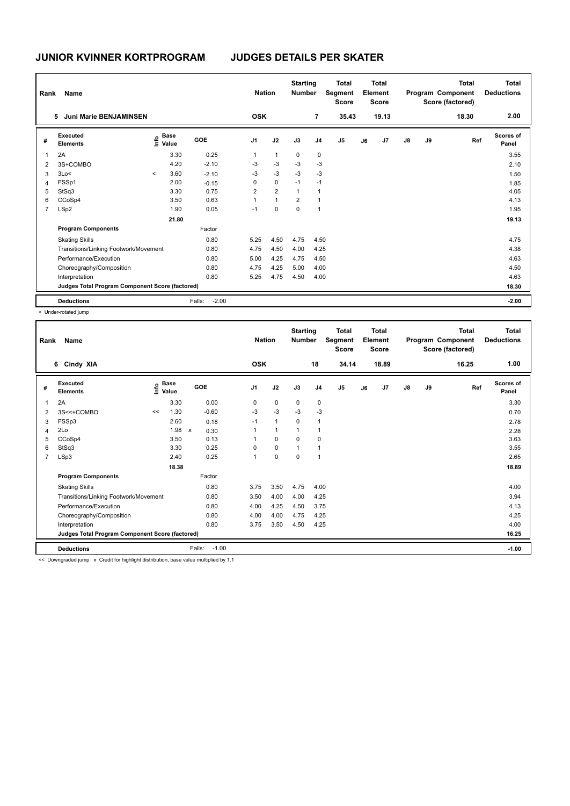| Rank | Name                                            |         |                   |                   | <b>Nation</b>  |                | <b>Starting</b><br><b>Number</b> |                | <b>Total</b><br>Segment<br><b>Score</b> |    | <b>Total</b><br>Element<br><b>Score</b> |               |    | <b>Total</b><br>Program Component<br>Score (factored) | <b>Total</b><br><b>Deductions</b> |
|------|-------------------------------------------------|---------|-------------------|-------------------|----------------|----------------|----------------------------------|----------------|-----------------------------------------|----|-----------------------------------------|---------------|----|-------------------------------------------------------|-----------------------------------|
|      | Juni Marie BENJAMINSEN<br>5                     |         |                   |                   | <b>OSK</b>     |                |                                  | $\overline{7}$ | 35.43                                   |    | 19.13                                   |               |    | 18.30                                                 | 2.00                              |
| #    | Executed<br><b>Elements</b>                     |         | e Base<br>E Value | GOE               | J <sub>1</sub> | J2             | J3                               | J <sub>4</sub> | J <sub>5</sub>                          | J6 | J7                                      | $\mathsf{J}8$ | J9 | Ref                                                   | Scores of<br>Panel                |
|      | 2A                                              |         | 3.30              | 0.25              | 1              | $\mathbf{1}$   | 0                                | 0              |                                         |    |                                         |               |    |                                                       | 3.55                              |
| 2    | 3S+COMBO                                        |         | 4.20              | $-2.10$           | $-3$           | $-3$           | $-3$                             | -3             |                                         |    |                                         |               |    |                                                       | 2.10                              |
| 3    | 3Lo<                                            | $\prec$ | 3.60              | $-2.10$           | $-3$           | $-3$           | $-3$                             | $-3$           |                                         |    |                                         |               |    |                                                       | 1.50                              |
| 4    | FSSp1                                           |         | 2.00              | $-0.15$           | 0              | $\mathbf 0$    | $-1$                             | $-1$           |                                         |    |                                         |               |    |                                                       | 1.85                              |
| 5    | StSq3                                           |         | 3.30              | 0.75              | 2              | $\overline{2}$ | $\overline{1}$                   | $\mathbf 1$    |                                         |    |                                         |               |    |                                                       | 4.05                              |
| 6    | CCoSp4                                          |         | 3.50              | 0.63              | 1              | $\overline{1}$ | $\overline{2}$                   | $\overline{1}$ |                                         |    |                                         |               |    |                                                       | 4.13                              |
| 7    | LSp2                                            |         | 1.90              | 0.05              | $-1$           | 0              | 0                                | $\overline{1}$ |                                         |    |                                         |               |    |                                                       | 1.95                              |
|      |                                                 |         | 21.80             |                   |                |                |                                  |                |                                         |    |                                         |               |    |                                                       | 19.13                             |
|      | <b>Program Components</b>                       |         |                   | Factor            |                |                |                                  |                |                                         |    |                                         |               |    |                                                       |                                   |
|      | <b>Skating Skills</b>                           |         |                   | 0.80              | 5.25           | 4.50           | 4.75                             | 4.50           |                                         |    |                                         |               |    |                                                       | 4.75                              |
|      | Transitions/Linking Footwork/Movement           |         |                   | 0.80              | 4.75           | 4.50           | 4.00                             | 4.25           |                                         |    |                                         |               |    |                                                       | 4.38                              |
|      | Performance/Execution                           |         |                   | 0.80              | 5.00           | 4.25           | 4.75                             | 4.50           |                                         |    |                                         |               |    |                                                       | 4.63                              |
|      | Choreography/Composition                        |         |                   | 0.80              | 4.75           | 4.25           | 5.00                             | 4.00           |                                         |    |                                         |               |    |                                                       | 4.50                              |
|      | Interpretation                                  |         |                   | 0.80              | 5.25           | 4.75           | 4.50                             | 4.00           |                                         |    |                                         |               |    |                                                       | 4.63                              |
|      | Judges Total Program Component Score (factored) |         |                   |                   |                |                |                                  |                |                                         |    |                                         |               |    |                                                       | 18.30                             |
|      | <b>Deductions</b>                               |         |                   | $-2.00$<br>Falls: |                |                |                                  |                |                                         |    |                                         |               |    |                                                       | $-2.00$                           |

< Under-rotated jump

| Rank           | Name                                            |    |                                  |                      | <b>Nation</b>  |              | <b>Starting</b><br><b>Number</b> |                | <b>Total</b><br>Segment<br><b>Score</b> |    | <b>Total</b><br>Element<br><b>Score</b> |               |    | <b>Total</b><br>Program Component<br>Score (factored) | <b>Total</b><br><b>Deductions</b><br>1.00 |
|----------------|-------------------------------------------------|----|----------------------------------|----------------------|----------------|--------------|----------------------------------|----------------|-----------------------------------------|----|-----------------------------------------|---------------|----|-------------------------------------------------------|-------------------------------------------|
|                | 6 Cindy XIA                                     |    |                                  |                      | <b>OSK</b>     |              |                                  | 18             | 34.14                                   |    | 18.89                                   |               |    | 16.25                                                 |                                           |
| #              | Executed<br><b>Elements</b>                     |    | <b>Base</b><br>e Base<br>E Value | GOE                  | J <sub>1</sub> | J2           | J3                               | J <sub>4</sub> | J <sub>5</sub>                          | J6 | J7                                      | $\mathsf{J}8$ | J9 | Ref                                                   | <b>Scores of</b><br>Panel                 |
| 1              | 2A                                              |    | 3.30                             | 0.00                 | 0              | $\mathbf 0$  | 0                                | 0              |                                         |    |                                         |               |    |                                                       | 3.30                                      |
| 2              | 3S<<+COMBO                                      | << | 1.30                             | $-0.60$              | $-3$           | $-3$         | $-3$                             | $-3$           |                                         |    |                                         |               |    |                                                       | 0.70                                      |
| 3              | FSSp3                                           |    | 2.60                             | 0.18                 | $-1$           | $\mathbf{1}$ | 0                                | $\mathbf{1}$   |                                         |    |                                         |               |    |                                                       | 2.78                                      |
| 4              | 2Lo                                             |    | 1.98                             | $\mathsf{x}$<br>0.30 |                | $\mathbf{1}$ |                                  | 1              |                                         |    |                                         |               |    |                                                       | 2.28                                      |
| 5              | CCoSp4                                          |    | 3.50                             | 0.13                 |                | $\mathbf 0$  | $\mathbf 0$                      | 0              |                                         |    |                                         |               |    |                                                       | 3.63                                      |
| 6              | StSq3                                           |    | 3.30                             | 0.25                 | 0              | $\mathbf 0$  |                                  | $\overline{1}$ |                                         |    |                                         |               |    |                                                       | 3.55                                      |
| $\overline{7}$ | LSp3                                            |    | 2.40                             | 0.25                 | $\mathbf{1}$   | $\mathbf 0$  | 0                                | $\overline{1}$ |                                         |    |                                         |               |    |                                                       | 2.65                                      |
|                |                                                 |    | 18.38                            |                      |                |              |                                  |                |                                         |    |                                         |               |    |                                                       | 18.89                                     |
|                | <b>Program Components</b>                       |    |                                  | Factor               |                |              |                                  |                |                                         |    |                                         |               |    |                                                       |                                           |
|                | <b>Skating Skills</b>                           |    |                                  | 0.80                 | 3.75           | 3.50         | 4.75                             | 4.00           |                                         |    |                                         |               |    |                                                       | 4.00                                      |
|                | Transitions/Linking Footwork/Movement           |    |                                  | 0.80                 | 3.50           | 4.00         | 4.00                             | 4.25           |                                         |    |                                         |               |    |                                                       | 3.94                                      |
|                | Performance/Execution                           |    |                                  | 0.80                 | 4.00           | 4.25         | 4.50                             | 3.75           |                                         |    |                                         |               |    |                                                       | 4.13                                      |
|                | Choreography/Composition                        |    |                                  | 0.80                 | 4.00           | 4.00         | 4.75                             | 4.25           |                                         |    |                                         |               |    |                                                       | 4.25                                      |
|                | Interpretation                                  |    |                                  | 0.80                 | 3.75           | 3.50         | 4.50                             | 4.25           |                                         |    |                                         |               |    |                                                       | 4.00                                      |
|                | Judges Total Program Component Score (factored) |    |                                  |                      |                |              |                                  |                |                                         |    |                                         |               |    |                                                       | 16.25                                     |
|                | <b>Deductions</b>                               |    |                                  | Falls:<br>$-1.00$    |                |              |                                  |                |                                         |    |                                         |               |    |                                                       | $-1.00$                                   |

<< Downgraded jump x Credit for highlight distribution, base value multiplied by 1.1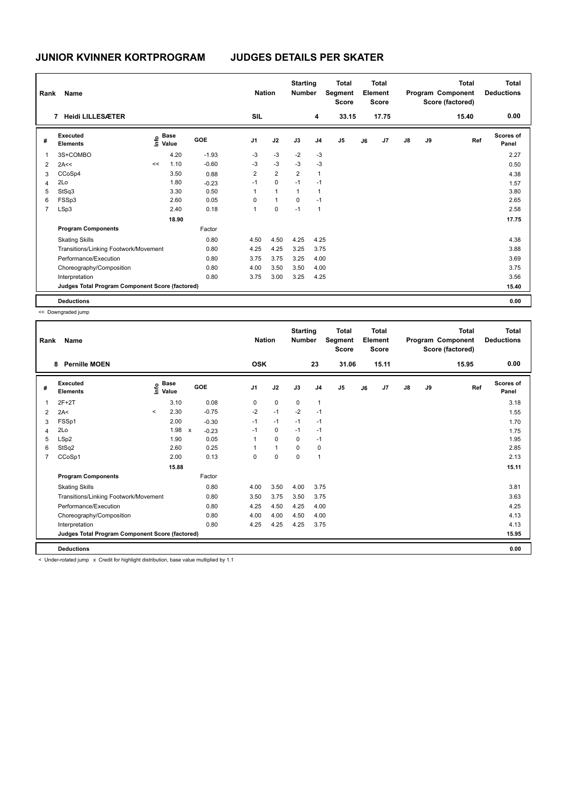| Rank           | <b>Name</b>                                     |    |                                  |         | <b>Nation</b>  |                | <b>Starting</b><br><b>Number</b> |                | <b>Total</b><br>Segment<br><b>Score</b> |    | <b>Total</b><br>Element<br><b>Score</b> |               |    | <b>Total</b><br>Program Component<br>Score (factored) | <b>Total</b><br><b>Deductions</b> |
|----------------|-------------------------------------------------|----|----------------------------------|---------|----------------|----------------|----------------------------------|----------------|-----------------------------------------|----|-----------------------------------------|---------------|----|-------------------------------------------------------|-----------------------------------|
|                | <b>Heidi LILLESÆTER</b><br>7                    |    |                                  |         | SIL            |                |                                  | 4              | 33.15                                   |    | 17.75                                   |               |    | 15.40                                                 | 0.00                              |
| #              | Executed<br><b>Elements</b>                     |    | <b>Base</b><br>e Base<br>E Value | GOE     | J <sub>1</sub> | J2             | J3                               | J <sub>4</sub> | J <sub>5</sub>                          | J6 | J7                                      | $\mathsf{J}8$ | J9 | Ref                                                   | <b>Scores of</b><br>Panel         |
|                | 3S+COMBO                                        |    | 4.20                             | $-1.93$ | $-3$           | $-3$           | $-2$                             | $-3$           |                                         |    |                                         |               |    |                                                       | 2.27                              |
| 2              | 2A<<                                            | << | 1.10                             | $-0.60$ | $-3$           | $-3$           | $-3$                             | $-3$           |                                         |    |                                         |               |    |                                                       | 0.50                              |
| 3              | CCoSp4                                          |    | 3.50                             | 0.88    | $\overline{2}$ | $\overline{2}$ | $\overline{2}$                   | $\overline{1}$ |                                         |    |                                         |               |    |                                                       | 4.38                              |
| 4              | 2Lo                                             |    | 1.80                             | $-0.23$ | $-1$           | $\mathbf 0$    | $-1$                             | $-1$           |                                         |    |                                         |               |    |                                                       | 1.57                              |
| 5              | StSq3                                           |    | 3.30                             | 0.50    | 1              | $\overline{1}$ | 1                                | $\overline{1}$ |                                         |    |                                         |               |    |                                                       | 3.80                              |
| 6              | FSSp3                                           |    | 2.60                             | 0.05    | 0              | $\mathbf{1}$   | $\pmb{0}$                        | $-1$           |                                         |    |                                         |               |    |                                                       | 2.65                              |
| $\overline{7}$ | LSp3                                            |    | 2.40                             | 0.18    | 1              | 0              | $-1$                             | $\mathbf{1}$   |                                         |    |                                         |               |    |                                                       | 2.58                              |
|                |                                                 |    | 18.90                            |         |                |                |                                  |                |                                         |    |                                         |               |    |                                                       | 17.75                             |
|                | <b>Program Components</b>                       |    |                                  | Factor  |                |                |                                  |                |                                         |    |                                         |               |    |                                                       |                                   |
|                | <b>Skating Skills</b>                           |    |                                  | 0.80    | 4.50           | 4.50           | 4.25                             | 4.25           |                                         |    |                                         |               |    |                                                       | 4.38                              |
|                | Transitions/Linking Footwork/Movement           |    |                                  | 0.80    | 4.25           | 4.25           | 3.25                             | 3.75           |                                         |    |                                         |               |    |                                                       | 3.88                              |
|                | Performance/Execution                           |    |                                  | 0.80    | 3.75           | 3.75           | 3.25                             | 4.00           |                                         |    |                                         |               |    |                                                       | 3.69                              |
|                | Choreography/Composition                        |    |                                  | 0.80    | 4.00           | 3.50           | 3.50                             | 4.00           |                                         |    |                                         |               |    |                                                       | 3.75                              |
|                | Interpretation                                  |    |                                  | 0.80    | 3.75           | 3.00           | 3.25                             | 4.25           |                                         |    |                                         |               |    |                                                       | 3.56                              |
|                | Judges Total Program Component Score (factored) |    |                                  |         |                |                |                                  |                |                                         |    |                                         |               |    |                                                       | 15.40                             |
|                | <b>Deductions</b>                               |    |                                  |         |                |                |                                  |                |                                         |    |                                         |               |    |                                                       | 0.00                              |

<< Downgraded jump

| Rank           | Name                                            |         |                                         |              |         |                | <b>Nation</b> |                      | <b>Starting</b><br><b>Number</b> |                | <b>Total</b><br>Segment<br><b>Score</b> |    | <b>Total</b><br>Element<br><b>Score</b> |    |    | <b>Total</b><br>Program Component<br>Score (factored) | <b>Total</b><br><b>Deductions</b> |
|----------------|-------------------------------------------------|---------|-----------------------------------------|--------------|---------|----------------|---------------|----------------------|----------------------------------|----------------|-----------------------------------------|----|-----------------------------------------|----|----|-------------------------------------------------------|-----------------------------------|
|                | <b>Pernille MOEN</b><br>8                       |         |                                         |              |         | <b>OSK</b>     |               |                      |                                  | 23             | 31.06                                   |    | 15.11                                   |    |    | 15.95                                                 | 0.00                              |
| #              | Executed<br><b>Elements</b>                     |         | $\mathsf{E}$ Base<br>$\mathsf{E}$ Value |              | GOE     | J <sub>1</sub> |               | J2                   | J3                               | J <sub>4</sub> | J5                                      | J6 | J7                                      | J8 | J9 | Ref                                                   | Scores of<br>Panel                |
| 1              | $2F+2T$                                         |         | 3.10                                    |              | 0.08    | 0              |               | $\mathbf 0$          | $\mathbf 0$                      | $\mathbf{1}$   |                                         |    |                                         |    |    |                                                       | 3.18                              |
| 2              | 2A<                                             | $\prec$ | 2.30                                    |              | $-0.75$ | $-2$           |               | $-1$                 | $-2$                             | $-1$           |                                         |    |                                         |    |    |                                                       | 1.55                              |
| 3              | FSSp1                                           |         | 2.00                                    |              | $-0.30$ | $-1$           |               | $-1$                 | $-1$                             | $-1$           |                                         |    |                                         |    |    |                                                       | 1.70                              |
| 4              | 2Lo                                             |         | 1.98                                    | $\mathsf{x}$ | $-0.23$ | $-1$           |               | 0                    | $-1$                             | $-1$           |                                         |    |                                         |    |    |                                                       | 1.75                              |
| 5              | LSp2                                            |         | 1.90                                    |              | 0.05    |                |               | $\mathbf 0$          | 0                                | $-1$           |                                         |    |                                         |    |    |                                                       | 1.95                              |
| 6              | StSq2                                           |         | 2.60                                    |              | 0.25    |                |               | $\blacktriangleleft$ | 0                                | 0              |                                         |    |                                         |    |    |                                                       | 2.85                              |
| $\overline{7}$ | CCoSp1                                          |         | 2.00                                    |              | 0.13    | $\Omega$       |               | $\mathbf 0$          | $\mathbf 0$                      | $\mathbf{1}$   |                                         |    |                                         |    |    |                                                       | 2.13                              |
|                |                                                 |         | 15.88                                   |              |         |                |               |                      |                                  |                |                                         |    |                                         |    |    |                                                       | 15.11                             |
|                | <b>Program Components</b>                       |         |                                         |              | Factor  |                |               |                      |                                  |                |                                         |    |                                         |    |    |                                                       |                                   |
|                | <b>Skating Skills</b>                           |         |                                         |              | 0.80    | 4.00           |               | 3.50                 | 4.00                             | 3.75           |                                         |    |                                         |    |    |                                                       | 3.81                              |
|                | Transitions/Linking Footwork/Movement           |         |                                         |              | 0.80    | 3.50           |               | 3.75                 | 3.50                             | 3.75           |                                         |    |                                         |    |    |                                                       | 3.63                              |
|                | Performance/Execution                           |         |                                         |              | 0.80    | 4.25           |               | 4.50                 | 4.25                             | 4.00           |                                         |    |                                         |    |    |                                                       | 4.25                              |
|                | Choreography/Composition                        |         |                                         |              | 0.80    | 4.00           |               | 4.00                 | 4.50                             | 4.00           |                                         |    |                                         |    |    |                                                       | 4.13                              |
|                | Interpretation                                  |         |                                         |              | 0.80    | 4.25           |               | 4.25                 | 4.25                             | 3.75           |                                         |    |                                         |    |    |                                                       | 4.13                              |
|                | Judges Total Program Component Score (factored) |         |                                         |              |         |                |               |                      |                                  |                |                                         |    |                                         |    |    |                                                       | 15.95                             |
|                | <b>Deductions</b>                               |         |                                         |              |         |                |               |                      |                                  |                |                                         |    |                                         |    |    |                                                       | 0.00                              |

< Under-rotated jump x Credit for highlight distribution, base value multiplied by 1.1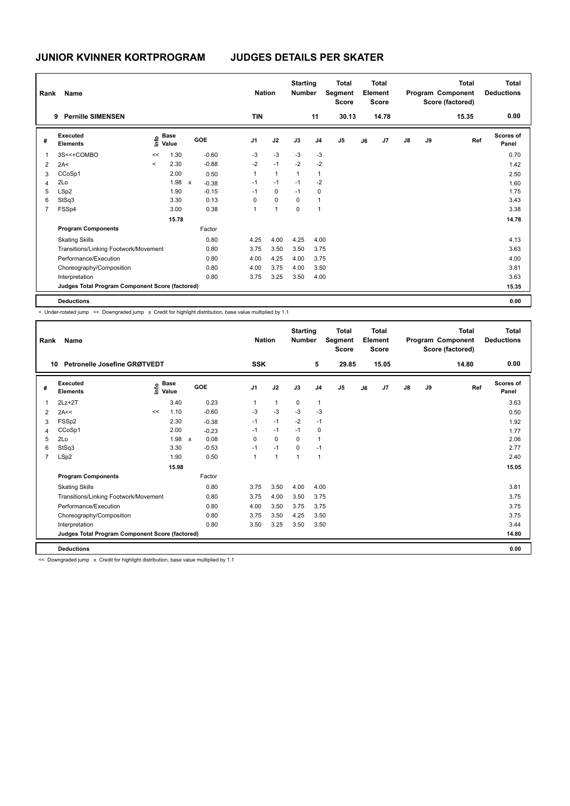| Rank           | <b>Name</b>                                     |         |                      |              |            |                | <b>Nation</b> |                | <b>Starting</b><br><b>Number</b> |                | <b>Total</b><br>Segment<br><b>Score</b> |    | <b>Total</b><br>Element<br><b>Score</b> |    |    | <b>Total</b><br>Program Component<br>Score (factored) | <b>Total</b><br><b>Deductions</b> |
|----------------|-------------------------------------------------|---------|----------------------|--------------|------------|----------------|---------------|----------------|----------------------------------|----------------|-----------------------------------------|----|-----------------------------------------|----|----|-------------------------------------------------------|-----------------------------------|
|                | <b>Pernille SIMENSEN</b><br>9                   |         |                      |              |            |                | <b>TIN</b>    |                |                                  | 11             | 30.13                                   |    | 14.78                                   |    |    | 15.35                                                 | 0.00                              |
| #              | Executed<br><b>Elements</b>                     | lnfo    | <b>Base</b><br>Value |              | <b>GOE</b> | J <sub>1</sub> |               | J2             | J3                               | J <sub>4</sub> | J <sub>5</sub>                          | J6 | J <sub>7</sub>                          | J8 | J9 | Ref                                                   | <b>Scores of</b><br>Panel         |
| 1              | 3S<<+COMBO                                      | <<      | 1.30                 |              | $-0.60$    |                | $-3$          | $-3$           | $-3$                             | $-3$           |                                         |    |                                         |    |    |                                                       | 0.70                              |
| 2              | 2A<                                             | $\prec$ | 2.30                 |              | $-0.88$    |                | $-2$          | $-1$           | $-2$                             | $-2$           |                                         |    |                                         |    |    |                                                       | 1.42                              |
| 3              | CCoSp1                                          |         | 2.00                 |              | 0.50       |                | 1             | $\overline{1}$ | 1                                | $\mathbf 1$    |                                         |    |                                         |    |    |                                                       | 2.50                              |
| 4              | 2Lo                                             |         | 1.98                 | $\mathsf{x}$ | $-0.38$    |                | $-1$          | $-1$           | $-1$                             | $-2$           |                                         |    |                                         |    |    |                                                       | 1.60                              |
| 5              | LSp2                                            |         | 1.90                 |              | $-0.15$    |                | $-1$          | $\mathbf 0$    | $-1$                             | 0              |                                         |    |                                         |    |    |                                                       | 1.75                              |
| 6              | StSq3                                           |         | 3.30                 |              | 0.13       |                | 0             | $\mathbf 0$    | $\mathbf 0$                      | $\mathbf{1}$   |                                         |    |                                         |    |    |                                                       | 3.43                              |
| $\overline{7}$ | FSSp4                                           |         | 3.00                 |              | 0.38       | 1              |               | $\mathbf{1}$   | 0                                | $\overline{1}$ |                                         |    |                                         |    |    |                                                       | 3.38                              |
|                |                                                 |         | 15.78                |              |            |                |               |                |                                  |                |                                         |    |                                         |    |    |                                                       | 14.78                             |
|                | <b>Program Components</b>                       |         |                      |              | Factor     |                |               |                |                                  |                |                                         |    |                                         |    |    |                                                       |                                   |
|                | <b>Skating Skills</b>                           |         |                      |              | 0.80       |                | 4.25          | 4.00           | 4.25                             | 4.00           |                                         |    |                                         |    |    |                                                       | 4.13                              |
|                | Transitions/Linking Footwork/Movement           |         |                      |              | 0.80       |                | 3.75          | 3.50           | 3.50                             | 3.75           |                                         |    |                                         |    |    |                                                       | 3.63                              |
|                | Performance/Execution                           |         |                      |              | 0.80       |                | 4.00          | 4.25           | 4.00                             | 3.75           |                                         |    |                                         |    |    |                                                       | 4.00                              |
|                | Choreography/Composition                        |         |                      |              | 0.80       |                | 4.00          | 3.75           | 4.00                             | 3.50           |                                         |    |                                         |    |    |                                                       | 3.81                              |
|                | Interpretation                                  |         |                      |              | 0.80       |                | 3.75          | 3.25           | 3.50                             | 4.00           |                                         |    |                                         |    |    |                                                       | 3.63                              |
|                | Judges Total Program Component Score (factored) |         |                      |              |            |                |               |                |                                  |                |                                         |    |                                         |    |    |                                                       | 15.35                             |
|                | <b>Deductions</b>                               |         |                      |              |            |                |               |                |                                  |                |                                         |    |                                         |    |    |                                                       | 0.00                              |

< Under-rotated jump << Downgraded jump x Credit for highlight distribution, base value multiplied by 1.1

| Rank           | <b>Name</b><br>Petronelle Josefine GRØTVEDT<br>10 |    |                                  |              |         | <b>SSK</b>     | <b>Nation</b>  | <b>Starting</b><br><b>Number</b> | 5              | <b>Total</b><br>Segment<br><b>Score</b><br>29.85 |    | Total<br>Element<br><b>Score</b><br>15.05 |               |    | <b>Total</b><br>Program Component<br>Score (factored)<br>14.80 | <b>Total</b><br><b>Deductions</b><br>0.00 |
|----------------|---------------------------------------------------|----|----------------------------------|--------------|---------|----------------|----------------|----------------------------------|----------------|--------------------------------------------------|----|-------------------------------------------|---------------|----|----------------------------------------------------------------|-------------------------------------------|
| #              | Executed<br><b>Elements</b>                       |    | <b>Base</b><br>e Base<br>E Value | GOE          |         | J <sub>1</sub> | J2             | J3                               | J <sub>4</sub> | J <sub>5</sub>                                   | J6 | J7                                        | $\mathsf{J}8$ | J9 | Ref                                                            | Scores of<br>Panel                        |
| $\overline{1}$ | $2Lz+2T$                                          |    | 3.40                             |              | 0.23    | 1              | $\mathbf{1}$   | 0                                | $\mathbf{1}$   |                                                  |    |                                           |               |    |                                                                | 3.63                                      |
| 2              | 2A<<                                              | << | 1.10                             |              | $-0.60$ | -3             | $-3$           | $-3$                             | $-3$           |                                                  |    |                                           |               |    |                                                                | 0.50                                      |
| 3              | FSSp2                                             |    | 2.30                             |              | $-0.38$ | $-1$           | $-1$           | $-2$                             | $-1$           |                                                  |    |                                           |               |    |                                                                | 1.92                                      |
| 4              | CCoSp1                                            |    | 2.00                             |              | $-0.23$ | $-1$           | $-1$           | $-1$                             | 0              |                                                  |    |                                           |               |    |                                                                | 1.77                                      |
| 5              | 2Lo                                               |    | 1.98                             | $\mathsf{x}$ | 0.08    | 0              | $\mathbf 0$    | $\mathbf 0$                      | $\overline{1}$ |                                                  |    |                                           |               |    |                                                                | 2.06                                      |
| 6              | StSq3                                             |    | 3.30                             |              | $-0.53$ | $-1$           | $-1$           | 0                                | $-1$           |                                                  |    |                                           |               |    |                                                                | 2.77                                      |
| $\overline{7}$ | LSp2                                              |    | 1.90                             |              | 0.50    | $\mathbf 1$    | $\overline{1}$ | 1                                | $\overline{1}$ |                                                  |    |                                           |               |    |                                                                | 2.40                                      |
|                |                                                   |    | 15.98                            |              |         |                |                |                                  |                |                                                  |    |                                           |               |    |                                                                | 15.05                                     |
|                | <b>Program Components</b>                         |    |                                  |              | Factor  |                |                |                                  |                |                                                  |    |                                           |               |    |                                                                |                                           |
|                | <b>Skating Skills</b>                             |    |                                  |              | 0.80    | 3.75           | 3.50           | 4.00                             | 4.00           |                                                  |    |                                           |               |    |                                                                | 3.81                                      |
|                | Transitions/Linking Footwork/Movement             |    |                                  |              | 0.80    | 3.75           | 4.00           | 3.50                             | 3.75           |                                                  |    |                                           |               |    |                                                                | 3.75                                      |
|                | Performance/Execution                             |    |                                  |              | 0.80    | 4.00           | 3.50           | 3.75                             | 3.75           |                                                  |    |                                           |               |    |                                                                | 3.75                                      |
|                | Choreography/Composition                          |    |                                  |              | 0.80    | 3.75           | 3.50           | 4.25                             | 3.50           |                                                  |    |                                           |               |    |                                                                | 3.75                                      |
|                | Interpretation                                    |    |                                  |              | 0.80    | 3.50           | 3.25           | 3.50                             | 3.50           |                                                  |    |                                           |               |    |                                                                | 3.44                                      |
|                | Judges Total Program Component Score (factored)   |    |                                  |              |         |                |                |                                  |                |                                                  |    |                                           |               |    |                                                                | 14.80                                     |
|                | <b>Deductions</b>                                 |    |                                  |              |         |                |                |                                  |                |                                                  |    |                                           |               |    |                                                                | 0.00                                      |

<< Downgraded jump x Credit for highlight distribution, base value multiplied by 1.1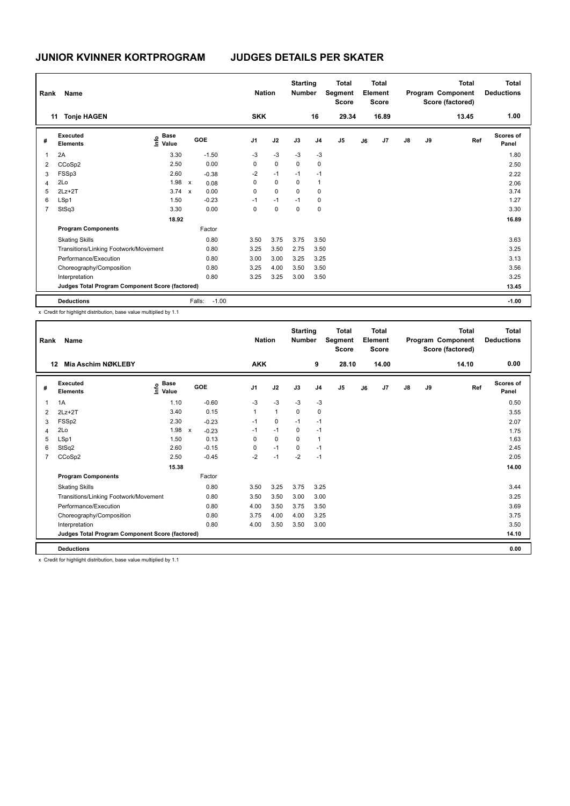| Rank | Name                                            |                                  |              |         | <b>Nation</b>  |             | <b>Starting</b><br><b>Number</b> |                | <b>Total</b><br>Segment<br><b>Score</b> |    | <b>Total</b><br>Element<br><b>Score</b> |               |    | <b>Total</b><br>Program Component<br>Score (factored) | <b>Total</b><br><b>Deductions</b> |
|------|-------------------------------------------------|----------------------------------|--------------|---------|----------------|-------------|----------------------------------|----------------|-----------------------------------------|----|-----------------------------------------|---------------|----|-------------------------------------------------------|-----------------------------------|
|      | <b>Tonje HAGEN</b><br>11                        |                                  |              |         | <b>SKK</b>     |             |                                  | 16             | 29.34                                   |    | 16.89                                   |               |    | 13.45                                                 | 1.00                              |
| #    | Executed<br><b>Elements</b>                     | <b>Base</b><br>e Base<br>E Value | GOE          |         | J <sub>1</sub> | J2          | J3                               | J <sub>4</sub> | J <sub>5</sub>                          | J6 | J7                                      | $\mathsf{J}8$ | J9 | Ref                                                   | <b>Scores of</b><br>Panel         |
| 1    | 2A                                              | 3.30                             |              | $-1.50$ | $-3$           | $-3$        | $-3$                             | $-3$           |                                         |    |                                         |               |    |                                                       | 1.80                              |
| 2    | CCoSp2                                          | 2.50                             |              | 0.00    | 0              | $\mathbf 0$ | 0                                | 0              |                                         |    |                                         |               |    |                                                       | 2.50                              |
| 3    | FSSp3                                           | 2.60                             |              | $-0.38$ | $-2$           | $-1$        | $-1$                             | $-1$           |                                         |    |                                         |               |    |                                                       | 2.22                              |
| 4    | 2Lo                                             | 1.98                             | $\mathsf{x}$ | 0.08    | 0              | $\Omega$    | $\mathbf 0$                      | $\overline{1}$ |                                         |    |                                         |               |    |                                                       | 2.06                              |
| 5    | $2Lz+2T$                                        | $3.74 \times$                    |              | 0.00    | 0              | $\mathbf 0$ | 0                                | 0              |                                         |    |                                         |               |    |                                                       | 3.74                              |
| 6    | LSp1                                            | 1.50                             |              | $-0.23$ | $-1$           | $-1$        | $-1$                             | 0              |                                         |    |                                         |               |    |                                                       | 1.27                              |
| 7    | StSq3                                           | 3.30                             |              | 0.00    | $\Omega$       | 0           | 0                                | 0              |                                         |    |                                         |               |    |                                                       | 3.30                              |
|      |                                                 | 18.92                            |              |         |                |             |                                  |                |                                         |    |                                         |               |    |                                                       | 16.89                             |
|      | <b>Program Components</b>                       |                                  |              | Factor  |                |             |                                  |                |                                         |    |                                         |               |    |                                                       |                                   |
|      | <b>Skating Skills</b>                           |                                  |              | 0.80    | 3.50           | 3.75        | 3.75                             | 3.50           |                                         |    |                                         |               |    |                                                       | 3.63                              |
|      | Transitions/Linking Footwork/Movement           |                                  |              | 0.80    | 3.25           | 3.50        | 2.75                             | 3.50           |                                         |    |                                         |               |    |                                                       | 3.25                              |
|      | Performance/Execution                           |                                  |              | 0.80    | 3.00           | 3.00        | 3.25                             | 3.25           |                                         |    |                                         |               |    |                                                       | 3.13                              |
|      | Choreography/Composition                        |                                  |              | 0.80    | 3.25           | 4.00        | 3.50                             | 3.50           |                                         |    |                                         |               |    |                                                       | 3.56                              |
|      | Interpretation                                  |                                  |              | 0.80    | 3.25           | 3.25        | 3.00                             | 3.50           |                                         |    |                                         |               |    |                                                       | 3.25                              |
|      | Judges Total Program Component Score (factored) |                                  |              |         |                |             |                                  |                |                                         |    |                                         |               |    |                                                       | 13.45                             |
|      | <b>Deductions</b>                               |                                  | Falls:       | $-1.00$ |                |             |                                  |                |                                         |    |                                         |               |    |                                                       | $-1.00$                           |

x Credit for highlight distribution, base value multiplied by 1.1

| Rank           | Name                                            |                                    |              |         | <b>Nation</b>  |              | <b>Starting</b><br><b>Number</b> |                | <b>Total</b><br>Segment<br><b>Score</b> |    | <b>Total</b><br>Element<br><b>Score</b> |               |    | <b>Total</b><br>Program Component<br>Score (factored) | <b>Total</b><br><b>Deductions</b> |
|----------------|-------------------------------------------------|------------------------------------|--------------|---------|----------------|--------------|----------------------------------|----------------|-----------------------------------------|----|-----------------------------------------|---------------|----|-------------------------------------------------------|-----------------------------------|
| 12             | Mia Aschim NØKLEBY                              |                                    |              |         | <b>AKK</b>     |              |                                  | 9              | 28.10                                   |    | 14.00                                   |               |    | 14.10                                                 | 0.00                              |
| #              | Executed<br><b>Elements</b>                     | <b>Base</b><br>$\frac{6}{5}$ Value | <b>GOE</b>   |         | J <sub>1</sub> | J2           | J3                               | J <sub>4</sub> | J5                                      | J6 | J <sub>7</sub>                          | $\mathsf{J}8$ | J9 | Ref                                                   | Scores of<br>Panel                |
| 1              | 1A                                              | 1.10                               |              | $-0.60$ | $-3$           | $-3$         | $-3$                             | $-3$           |                                         |    |                                         |               |    |                                                       | 0.50                              |
| $\overline{2}$ | $2Lz+2T$                                        | 3.40                               |              | 0.15    | $\mathbf{1}$   | $\mathbf{1}$ | 0                                | 0              |                                         |    |                                         |               |    |                                                       | 3.55                              |
| 3              | FSSp2                                           | 2.30                               |              | $-0.23$ | $-1$           | 0            | $-1$                             | -1             |                                         |    |                                         |               |    |                                                       | 2.07                              |
| $\overline{4}$ | 2Lo                                             | 1.98                               | $\mathsf{x}$ | $-0.23$ | $-1$           | $-1$         | 0                                | $-1$           |                                         |    |                                         |               |    |                                                       | 1.75                              |
| 5              | LSp1                                            | 1.50                               |              | 0.13    | 0              | $\mathbf 0$  | 0                                | $\overline{1}$ |                                         |    |                                         |               |    |                                                       | 1.63                              |
| 6              | StSq2                                           | 2.60                               |              | $-0.15$ | 0              | $-1$         | $\Omega$                         | $-1$           |                                         |    |                                         |               |    |                                                       | 2.45                              |
| $\overline{7}$ | CCoSp2                                          | 2.50                               |              | $-0.45$ | $-2$           | $-1$         | $-2$                             | $-1$           |                                         |    |                                         |               |    |                                                       | 2.05                              |
|                |                                                 | 15.38                              |              |         |                |              |                                  |                |                                         |    |                                         |               |    |                                                       | 14.00                             |
|                | <b>Program Components</b>                       |                                    | Factor       |         |                |              |                                  |                |                                         |    |                                         |               |    |                                                       |                                   |
|                | <b>Skating Skills</b>                           |                                    |              | 0.80    | 3.50           | 3.25         | 3.75                             | 3.25           |                                         |    |                                         |               |    |                                                       | 3.44                              |
|                | Transitions/Linking Footwork/Movement           |                                    |              | 0.80    | 3.50           | 3.50         | 3.00                             | 3.00           |                                         |    |                                         |               |    |                                                       | 3.25                              |
|                | Performance/Execution                           |                                    |              | 0.80    | 4.00           | 3.50         | 3.75                             | 3.50           |                                         |    |                                         |               |    |                                                       | 3.69                              |
|                | Choreography/Composition                        |                                    |              | 0.80    | 3.75           | 4.00         | 4.00                             | 3.25           |                                         |    |                                         |               |    |                                                       | 3.75                              |
|                | Interpretation                                  |                                    |              | 0.80    | 4.00           | 3.50         | 3.50                             | 3.00           |                                         |    |                                         |               |    |                                                       | 3.50                              |
|                | Judges Total Program Component Score (factored) |                                    |              |         |                |              |                                  |                |                                         |    |                                         |               |    |                                                       | 14.10                             |
|                | <b>Deductions</b>                               |                                    |              |         |                |              |                                  |                |                                         |    |                                         |               |    |                                                       | 0.00                              |

x Credit for highlight distribution, base value multiplied by 1.1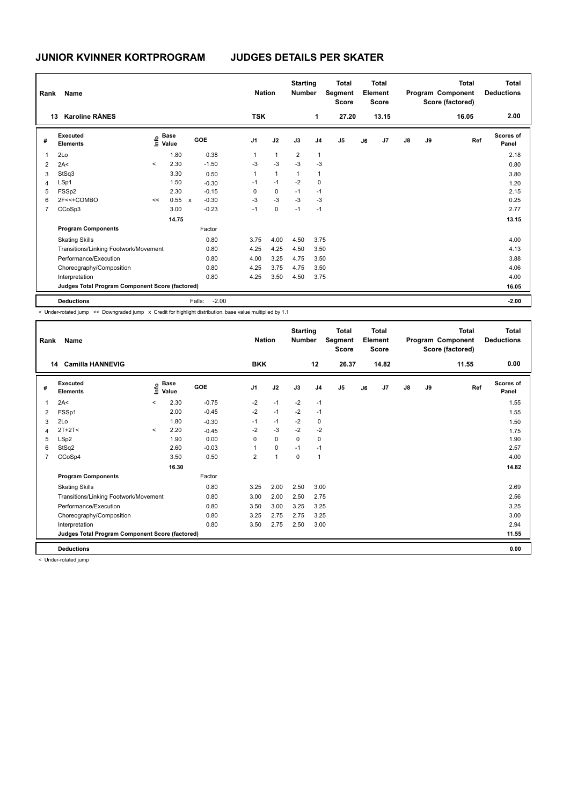| Rank           | <b>Name</b>                                     |                          |                                  |                           |                   | <b>Nation</b>  |              | <b>Starting</b><br><b>Number</b> |                | <b>Total</b><br>Segment<br><b>Score</b> |    | <b>Total</b><br>Element<br><b>Score</b> |               |    | Total<br>Program Component<br>Score (factored) | <b>Total</b><br><b>Deductions</b> |
|----------------|-------------------------------------------------|--------------------------|----------------------------------|---------------------------|-------------------|----------------|--------------|----------------------------------|----------------|-----------------------------------------|----|-----------------------------------------|---------------|----|------------------------------------------------|-----------------------------------|
|                | <b>Karoline RÅNES</b><br>13                     |                          |                                  |                           |                   | <b>TSK</b>     |              |                                  | 1              | 27.20                                   |    | 13.15                                   |               |    | 16.05                                          | 2.00                              |
| #              | Executed<br><b>Elements</b>                     |                          | <b>Base</b><br>e Base<br>E Value |                           | GOE               | J <sub>1</sub> | J2           | J3                               | J <sub>4</sub> | J <sub>5</sub>                          | J6 | J <sub>7</sub>                          | $\mathsf{J}8$ | J9 | Ref                                            | Scores of<br>Panel                |
| 1              | 2Lo                                             |                          | 1.80                             |                           | 0.38              | 1              | $\mathbf{1}$ | $\overline{2}$                   | $\mathbf{1}$   |                                         |    |                                         |               |    |                                                | 2.18                              |
| 2              | 2A<                                             | $\overline{\phantom{a}}$ | 2.30                             |                           | $-1.50$           | $-3$           | $-3$         | $-3$                             | $-3$           |                                         |    |                                         |               |    |                                                | 0.80                              |
| 3              | StSq3                                           |                          | 3.30                             |                           | 0.50              | 1              | $\mathbf{1}$ | $\overline{1}$                   | $\overline{1}$ |                                         |    |                                         |               |    |                                                | 3.80                              |
| $\overline{4}$ | LSp1                                            |                          | 1.50                             |                           | $-0.30$           | $-1$           | $-1$         | $-2$                             | 0              |                                         |    |                                         |               |    |                                                | 1.20                              |
| 5              | FSSp2                                           |                          | 2.30                             |                           | $-0.15$           | 0              | 0            | $-1$                             | $-1$           |                                         |    |                                         |               |    |                                                | 2.15                              |
| 6              | 2F<<+COMBO                                      | <<                       | 0.55                             | $\boldsymbol{\mathsf{x}}$ | $-0.30$           | -3             | $-3$         | $-3$                             | $-3$           |                                         |    |                                         |               |    |                                                | 0.25                              |
| 7              | CCoSp3                                          |                          | 3.00                             |                           | $-0.23$           | $-1$           | 0            | $-1$                             | $-1$           |                                         |    |                                         |               |    |                                                | 2.77                              |
|                |                                                 |                          | 14.75                            |                           |                   |                |              |                                  |                |                                         |    |                                         |               |    |                                                | 13.15                             |
|                | <b>Program Components</b>                       |                          |                                  |                           | Factor            |                |              |                                  |                |                                         |    |                                         |               |    |                                                |                                   |
|                | <b>Skating Skills</b>                           |                          |                                  |                           | 0.80              | 3.75           | 4.00         | 4.50                             | 3.75           |                                         |    |                                         |               |    |                                                | 4.00                              |
|                | Transitions/Linking Footwork/Movement           |                          |                                  |                           | 0.80              | 4.25           | 4.25         | 4.50                             | 3.50           |                                         |    |                                         |               |    |                                                | 4.13                              |
|                | Performance/Execution                           |                          |                                  |                           | 0.80              | 4.00           | 3.25         | 4.75                             | 3.50           |                                         |    |                                         |               |    |                                                | 3.88                              |
|                | Choreography/Composition                        |                          |                                  |                           | 0.80              | 4.25           | 3.75         | 4.75                             | 3.50           |                                         |    |                                         |               |    |                                                | 4.06                              |
|                | Interpretation                                  |                          |                                  |                           | 0.80              | 4.25           | 3.50         | 4.50                             | 3.75           |                                         |    |                                         |               |    |                                                | 4.00                              |
|                | Judges Total Program Component Score (factored) |                          |                                  |                           |                   |                |              |                                  |                |                                         |    |                                         |               |    |                                                | 16.05                             |
|                | <b>Deductions</b>                               |                          |                                  |                           | $-2.00$<br>Falls: |                |              |                                  |                |                                         |    |                                         |               |    |                                                | $-2.00$                           |

< Under-rotated jump << Downgraded jump x Credit for highlight distribution, base value multiplied by 1.1

| Rank           | Name                                            |         |                      |            | <b>Nation</b>  |                | <b>Starting</b><br><b>Number</b> |                | <b>Total</b><br>Segment<br><b>Score</b> |    | <b>Total</b><br>Element<br><b>Score</b> |               |    | <b>Total</b><br>Program Component<br>Score (factored) | Total<br><b>Deductions</b> |
|----------------|-------------------------------------------------|---------|----------------------|------------|----------------|----------------|----------------------------------|----------------|-----------------------------------------|----|-----------------------------------------|---------------|----|-------------------------------------------------------|----------------------------|
|                | <b>Camilla HANNEVIG</b><br>14                   |         |                      |            | <b>BKK</b>     |                |                                  | 12             | 26.37                                   |    | 14.82                                   |               |    | 11.55                                                 | 0.00                       |
| #              | Executed<br><b>Elements</b>                     | ١nfo    | <b>Base</b><br>Value | <b>GOE</b> | J <sub>1</sub> | J2             | J3                               | J <sub>4</sub> | J <sub>5</sub>                          | J6 | J7                                      | $\mathsf{J}8$ | J9 | Ref                                                   | <b>Scores of</b><br>Panel  |
| 1              | 2A<                                             | $\prec$ | 2.30                 | $-0.75$    | $-2$           | $-1$           | $-2$                             | $-1$           |                                         |    |                                         |               |    |                                                       | 1.55                       |
| 2              | FSSp1                                           |         | 2.00                 | $-0.45$    | $-2$           | $-1$           | $-2$                             | $-1$           |                                         |    |                                         |               |    |                                                       | 1.55                       |
| 3              | 2Lo                                             |         | 1.80                 | $-0.30$    | $-1$           | $-1$           | $-2$                             | 0              |                                         |    |                                         |               |    |                                                       | 1.50                       |
| $\overline{4}$ | $2T+2T<$                                        | $\prec$ | 2.20                 | $-0.45$    | $-2$           | $-3$           | $-2$                             | $-2$           |                                         |    |                                         |               |    |                                                       | 1.75                       |
| 5              | LSp2                                            |         | 1.90                 | 0.00       | 0              | $\mathbf 0$    | $\Omega$                         | 0              |                                         |    |                                         |               |    |                                                       | 1.90                       |
| 6              | StSq2                                           |         | 2.60                 | $-0.03$    |                | $\mathbf 0$    | $-1$                             | $-1$           |                                         |    |                                         |               |    |                                                       | 2.57                       |
| 7              | CCoSp4                                          |         | 3.50                 | 0.50       | $\overline{2}$ | $\overline{1}$ | 0                                | $\overline{1}$ |                                         |    |                                         |               |    |                                                       | 4.00                       |
|                |                                                 |         | 16.30                |            |                |                |                                  |                |                                         |    |                                         |               |    |                                                       | 14.82                      |
|                | <b>Program Components</b>                       |         |                      | Factor     |                |                |                                  |                |                                         |    |                                         |               |    |                                                       |                            |
|                | <b>Skating Skills</b>                           |         |                      | 0.80       | 3.25           | 2.00           | 2.50                             | 3.00           |                                         |    |                                         |               |    |                                                       | 2.69                       |
|                | Transitions/Linking Footwork/Movement           |         |                      | 0.80       | 3.00           | 2.00           | 2.50                             | 2.75           |                                         |    |                                         |               |    |                                                       | 2.56                       |
|                | Performance/Execution                           |         |                      | 0.80       | 3.50           | 3.00           | 3.25                             | 3.25           |                                         |    |                                         |               |    |                                                       | 3.25                       |
|                | Choreography/Composition                        |         |                      | 0.80       | 3.25           | 2.75           | 2.75                             | 3.25           |                                         |    |                                         |               |    |                                                       | 3.00                       |
|                | Interpretation                                  |         |                      | 0.80       | 3.50           | 2.75           | 2.50                             | 3.00           |                                         |    |                                         |               |    |                                                       | 2.94                       |
|                | Judges Total Program Component Score (factored) |         |                      |            |                |                |                                  |                |                                         |    |                                         |               |    |                                                       | 11.55                      |
|                | <b>Deductions</b>                               |         |                      |            |                |                |                                  |                |                                         |    |                                         |               |    |                                                       | 0.00                       |

< Under-rotated jump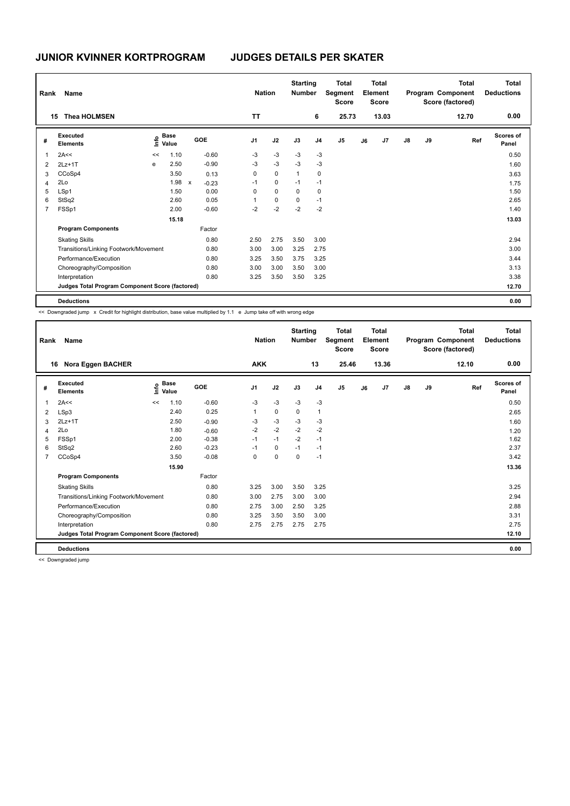| Rank | Name                                            |      |                      |              |         | <b>Nation</b>  |             | <b>Starting</b><br><b>Number</b> |                | <b>Total</b><br>Segment<br><b>Score</b> |    | Total<br>Element<br><b>Score</b> |               |    | Total<br>Program Component<br>Score (factored) | <b>Total</b><br><b>Deductions</b> |
|------|-------------------------------------------------|------|----------------------|--------------|---------|----------------|-------------|----------------------------------|----------------|-----------------------------------------|----|----------------------------------|---------------|----|------------------------------------------------|-----------------------------------|
|      | <b>Thea HOLMSEN</b><br>15                       |      |                      |              |         | <b>TT</b>      |             |                                  | 6              | 25.73                                   |    | 13.03                            |               |    | 12.70                                          | 0.00                              |
| #    | Executed<br><b>Elements</b>                     | lnfo | <b>Base</b><br>Value |              | GOE     | J <sub>1</sub> | J2          | J3                               | J <sub>4</sub> | J <sub>5</sub>                          | J6 | J7                               | $\mathsf{J}8$ | J9 | Ref                                            | <b>Scores of</b><br>Panel         |
| 1    | 2A<<                                            | <<   | 1.10                 |              | $-0.60$ | $-3$           | $-3$        | $-3$                             | $-3$           |                                         |    |                                  |               |    |                                                | 0.50                              |
| 2    | $2Lz+1T$                                        | e    | 2.50                 |              | $-0.90$ | $-3$           | $-3$        | $-3$                             | $-3$           |                                         |    |                                  |               |    |                                                | 1.60                              |
| 3    | CCoSp4                                          |      | 3.50                 |              | 0.13    | 0              | $\mathbf 0$ | $\mathbf{1}$                     | 0              |                                         |    |                                  |               |    |                                                | 3.63                              |
| 4    | 2Lo                                             |      | 1.98                 | $\mathsf{x}$ | $-0.23$ | $-1$           | $\mathbf 0$ | $-1$                             | $-1$           |                                         |    |                                  |               |    |                                                | 1.75                              |
| 5    | LSp1                                            |      | 1.50                 |              | 0.00    | 0              | $\mathbf 0$ | 0                                | 0              |                                         |    |                                  |               |    |                                                | 1.50                              |
| 6    | StSq2                                           |      | 2.60                 |              | 0.05    | 1              | 0           | 0                                | $-1$           |                                         |    |                                  |               |    |                                                | 2.65                              |
| 7    | FSSp1                                           |      | 2.00                 |              | $-0.60$ | $-2$           | $-2$        | $-2$                             | $-2$           |                                         |    |                                  |               |    |                                                | 1.40                              |
|      |                                                 |      | 15.18                |              |         |                |             |                                  |                |                                         |    |                                  |               |    |                                                | 13.03                             |
|      | <b>Program Components</b>                       |      |                      |              | Factor  |                |             |                                  |                |                                         |    |                                  |               |    |                                                |                                   |
|      | <b>Skating Skills</b>                           |      |                      |              | 0.80    | 2.50           | 2.75        | 3.50                             | 3.00           |                                         |    |                                  |               |    |                                                | 2.94                              |
|      | Transitions/Linking Footwork/Movement           |      |                      |              | 0.80    | 3.00           | 3.00        | 3.25                             | 2.75           |                                         |    |                                  |               |    |                                                | 3.00                              |
|      | Performance/Execution                           |      |                      |              | 0.80    | 3.25           | 3.50        | 3.75                             | 3.25           |                                         |    |                                  |               |    |                                                | 3.44                              |
|      | Choreography/Composition                        |      |                      |              | 0.80    | 3.00           | 3.00        | 3.50                             | 3.00           |                                         |    |                                  |               |    |                                                | 3.13                              |
|      | Interpretation                                  |      |                      |              | 0.80    | 3.25           | 3.50        | 3.50                             | 3.25           |                                         |    |                                  |               |    |                                                | 3.38                              |
|      | Judges Total Program Component Score (factored) |      |                      |              |         |                |             |                                  |                |                                         |    |                                  |               |    |                                                | 12.70                             |
|      | <b>Deductions</b>                               |      |                      |              |         |                |             |                                  |                |                                         |    |                                  |               |    |                                                | 0.00                              |

<< Downgraded jump x Credit for highlight distribution, base value multiplied by 1.1 e Jump take off with wrong edge

| Rank           | <b>Name</b>                                     |                   |             |         | <b>Nation</b>  |             | <b>Starting</b><br><b>Number</b> |                | <b>Total</b><br>Segment<br><b>Score</b> |    | <b>Total</b><br>Element<br><b>Score</b> |               |    | <b>Total</b><br>Program Component<br>Score (factored) | <b>Total</b><br><b>Deductions</b> |
|----------------|-------------------------------------------------|-------------------|-------------|---------|----------------|-------------|----------------------------------|----------------|-----------------------------------------|----|-----------------------------------------|---------------|----|-------------------------------------------------------|-----------------------------------|
|                | Nora Eggen BACHER<br>16                         |                   |             |         | <b>AKK</b>     |             |                                  | 13             | 25.46                                   |    | 13.36                                   |               |    | 12.10                                                 | 0.00                              |
| #              | Executed<br><b>Elements</b>                     | e Base<br>⊆ Value | <b>Base</b> | GOE     | J <sub>1</sub> | J2          | J3                               | J <sub>4</sub> | J <sub>5</sub>                          | J6 | J7                                      | $\mathsf{J}8$ | J9 | Ref                                                   | Scores of<br>Panel                |
| 1              | 2A<<                                            | <<                | 1.10        | $-0.60$ | $-3$           | $-3$        | $-3$                             | $-3$           |                                         |    |                                         |               |    |                                                       | 0.50                              |
| 2              | LSp3                                            |                   | 2.40        | 0.25    |                | $\mathbf 0$ | $\mathbf 0$                      | $\overline{1}$ |                                         |    |                                         |               |    |                                                       | 2.65                              |
| 3              | $2Lz+1T$                                        |                   | 2.50        | $-0.90$ | -3             | $-3$        | $-3$                             | -3             |                                         |    |                                         |               |    |                                                       | 1.60                              |
| 4              | 2Lo                                             |                   | 1.80        | $-0.60$ | $-2$           | $-2$        | $-2$                             | $-2$           |                                         |    |                                         |               |    |                                                       | 1.20                              |
| 5              | FSSp1                                           |                   | 2.00        | $-0.38$ | $-1$           | $-1$        | $-2$                             | $-1$           |                                         |    |                                         |               |    |                                                       | 1.62                              |
| 6              | StSq2                                           |                   | 2.60        | $-0.23$ | $-1$           | 0           | $-1$                             | $-1$           |                                         |    |                                         |               |    |                                                       | 2.37                              |
| $\overline{7}$ | CCoSp4                                          |                   | 3.50        | $-0.08$ | 0              | $\mathbf 0$ | $\mathbf 0$                      | $-1$           |                                         |    |                                         |               |    |                                                       | 3.42                              |
|                |                                                 |                   | 15.90       |         |                |             |                                  |                |                                         |    |                                         |               |    |                                                       | 13.36                             |
|                | <b>Program Components</b>                       |                   |             | Factor  |                |             |                                  |                |                                         |    |                                         |               |    |                                                       |                                   |
|                | <b>Skating Skills</b>                           |                   |             | 0.80    | 3.25           | 3.00        | 3.50                             | 3.25           |                                         |    |                                         |               |    |                                                       | 3.25                              |
|                | Transitions/Linking Footwork/Movement           |                   |             | 0.80    | 3.00           | 2.75        | 3.00                             | 3.00           |                                         |    |                                         |               |    |                                                       | 2.94                              |
|                | Performance/Execution                           |                   |             | 0.80    | 2.75           | 3.00        | 2.50                             | 3.25           |                                         |    |                                         |               |    |                                                       | 2.88                              |
|                | Choreography/Composition                        |                   |             | 0.80    | 3.25           | 3.50        | 3.50                             | 3.00           |                                         |    |                                         |               |    |                                                       | 3.31                              |
|                | Interpretation                                  |                   |             | 0.80    | 2.75           | 2.75        | 2.75                             | 2.75           |                                         |    |                                         |               |    |                                                       | 2.75                              |
|                | Judges Total Program Component Score (factored) |                   |             |         |                |             |                                  |                |                                         |    |                                         |               |    |                                                       | 12.10                             |
|                | <b>Deductions</b>                               |                   |             |         |                |             |                                  |                |                                         |    |                                         |               |    |                                                       | 0.00                              |

<< Downgraded jump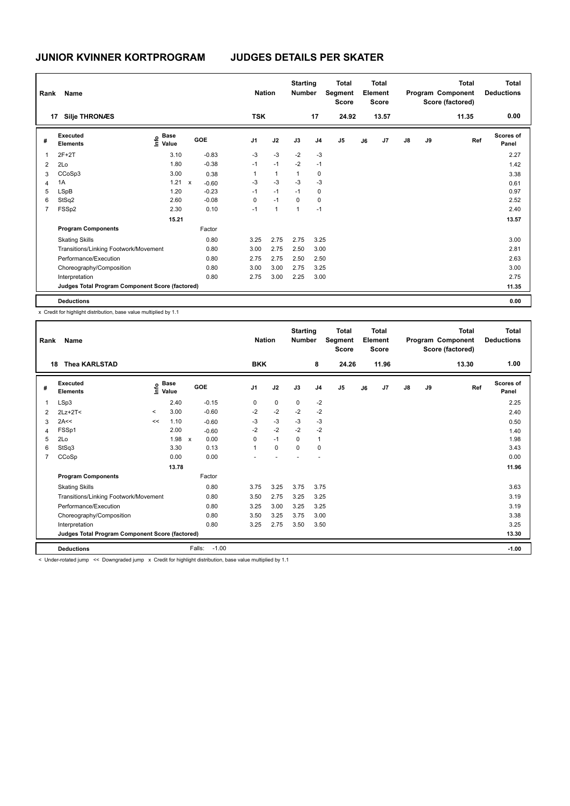| Rank         | Name                                            |                                  |              |         |                | <b>Nation</b> |              | <b>Starting</b><br><b>Number</b> |                | <b>Total</b><br>Segment<br><b>Score</b> |    | Total<br>Element<br><b>Score</b> |               |    | <b>Total</b><br>Program Component<br>Score (factored) | <b>Total</b><br><b>Deductions</b> |
|--------------|-------------------------------------------------|----------------------------------|--------------|---------|----------------|---------------|--------------|----------------------------------|----------------|-----------------------------------------|----|----------------------------------|---------------|----|-------------------------------------------------------|-----------------------------------|
|              | <b>Silje THRONÆS</b><br>17                      |                                  |              |         |                | <b>TSK</b>    |              |                                  | 17             | 24.92                                   |    | 13.57                            |               |    | 11.35                                                 | 0.00                              |
| #            | Executed<br><b>Elements</b>                     | <b>Base</b><br>e Base<br>E Value |              | GOE     | J <sub>1</sub> |               | J2           | J3                               | J <sub>4</sub> | J <sub>5</sub>                          | J6 | J7                               | $\mathsf{J}8$ | J9 | Ref                                                   | <b>Scores of</b><br>Panel         |
| $\mathbf{1}$ | $2F+2T$                                         | 3.10                             |              | $-0.83$ | $-3$           |               | $-3$         | $-2$                             | $-3$           |                                         |    |                                  |               |    |                                                       | 2.27                              |
| 2            | 2Lo                                             | 1.80                             |              | $-0.38$ | $-1$           |               | $-1$         | $-2$                             | $-1$           |                                         |    |                                  |               |    |                                                       | 1.42                              |
| 3            | CCoSp3                                          | 3.00                             |              | 0.38    | 1              |               | $\mathbf{1}$ | $\mathbf{1}$                     | 0              |                                         |    |                                  |               |    |                                                       | 3.38                              |
| 4            | 1A                                              | 1.21                             | $\mathsf{x}$ | $-0.60$ | $-3$           |               | $-3$         | $-3$                             | $-3$           |                                         |    |                                  |               |    |                                                       | 0.61                              |
| 5            | <b>LSpB</b>                                     | 1.20                             |              | $-0.23$ | $-1$           |               | $-1$         | $-1$                             | 0              |                                         |    |                                  |               |    |                                                       | 0.97                              |
| 6            | StSq2                                           | 2.60                             |              | $-0.08$ | 0              |               | $-1$         | 0                                | 0              |                                         |    |                                  |               |    |                                                       | 2.52                              |
| 7            | FSSp2                                           | 2.30                             |              | 0.10    | $-1$           |               | $\mathbf{1}$ | 1                                | $-1$           |                                         |    |                                  |               |    |                                                       | 2.40                              |
|              |                                                 | 15.21                            |              |         |                |               |              |                                  |                |                                         |    |                                  |               |    |                                                       | 13.57                             |
|              | <b>Program Components</b>                       |                                  |              | Factor  |                |               |              |                                  |                |                                         |    |                                  |               |    |                                                       |                                   |
|              | <b>Skating Skills</b>                           |                                  |              | 0.80    | 3.25           |               | 2.75         | 2.75                             | 3.25           |                                         |    |                                  |               |    |                                                       | 3.00                              |
|              | Transitions/Linking Footwork/Movement           |                                  |              | 0.80    | 3.00           |               | 2.75         | 2.50                             | 3.00           |                                         |    |                                  |               |    |                                                       | 2.81                              |
|              | Performance/Execution                           |                                  |              | 0.80    | 2.75           |               | 2.75         | 2.50                             | 2.50           |                                         |    |                                  |               |    |                                                       | 2.63                              |
|              | Choreography/Composition                        |                                  |              | 0.80    | 3.00           |               | 3.00         | 2.75                             | 3.25           |                                         |    |                                  |               |    |                                                       | 3.00                              |
|              | Interpretation                                  |                                  |              | 0.80    | 2.75           |               | 3.00         | 2.25                             | 3.00           |                                         |    |                                  |               |    |                                                       | 2.75                              |
|              | Judges Total Program Component Score (factored) |                                  |              |         |                |               |              |                                  |                |                                         |    |                                  |               |    |                                                       | 11.35                             |
|              | <b>Deductions</b>                               |                                  |              |         |                |               |              |                                  |                |                                         |    |                                  |               |    |                                                       | 0.00                              |

x Credit for highlight distribution, base value multiplied by 1.1

| Rank           | Name                                            |         |                                         |                      | <b>Nation</b>  |             | <b>Starting</b><br><b>Number</b> |                | <b>Total</b><br>Segment<br><b>Score</b> |    | <b>Total</b><br>Element<br><b>Score</b> |               |    | <b>Total</b><br>Program Component<br>Score (factored) | <b>Total</b><br><b>Deductions</b> |
|----------------|-------------------------------------------------|---------|-----------------------------------------|----------------------|----------------|-------------|----------------------------------|----------------|-----------------------------------------|----|-----------------------------------------|---------------|----|-------------------------------------------------------|-----------------------------------|
|                | <b>Thea KARLSTAD</b><br>18                      |         |                                         |                      | <b>BKK</b>     |             |                                  | 8              | 24.26                                   |    | 11.96                                   |               |    | 13.30                                                 | 1.00                              |
| #              | Executed<br><b>Elements</b>                     |         | $\mathbf{e}$ Base<br>$\mathbf{e}$ Value | GOE                  | J <sub>1</sub> | J2          | J3                               | J <sub>4</sub> | J <sub>5</sub>                          | J6 | J7                                      | $\mathsf{J}8$ | J9 | Ref                                                   | <b>Scores of</b><br>Panel         |
|                | LSp3                                            |         | 2.40                                    | $-0.15$              | 0              | $\mathbf 0$ | 0                                | $-2$           |                                         |    |                                         |               |    |                                                       | 2.25                              |
| 2              | $2Lz+2T<$                                       | $\,<\,$ | 3.00                                    | $-0.60$              | $-2$           | $-2$        | $-2$                             | $-2$           |                                         |    |                                         |               |    |                                                       | 2.40                              |
| 3              | 2A<<                                            | <<      | 1.10                                    | $-0.60$              | $-3$           | $-3$        | $-3$                             | $-3$           |                                         |    |                                         |               |    |                                                       | 0.50                              |
| 4              | FSSp1                                           |         | 2.00                                    | $-0.60$              | $-2$           | $-2$        | $-2$                             | $-2$           |                                         |    |                                         |               |    |                                                       | 1.40                              |
| 5              | 2Lo                                             |         | 1.98                                    | 0.00<br>$\mathsf{x}$ | 0              | $-1$        | $\Omega$                         | $\mathbf{1}$   |                                         |    |                                         |               |    |                                                       | 1.98                              |
| 6              | StSq3                                           |         | 3.30                                    | 0.13                 | 1              | $\mathbf 0$ | 0                                | 0              |                                         |    |                                         |               |    |                                                       | 3.43                              |
| $\overline{7}$ | CCoSp                                           |         | 0.00                                    | 0.00                 |                |             |                                  |                |                                         |    |                                         |               |    |                                                       | 0.00                              |
|                |                                                 |         | 13.78                                   |                      |                |             |                                  |                |                                         |    |                                         |               |    |                                                       | 11.96                             |
|                | <b>Program Components</b>                       |         |                                         | Factor               |                |             |                                  |                |                                         |    |                                         |               |    |                                                       |                                   |
|                | <b>Skating Skills</b>                           |         |                                         | 0.80                 | 3.75           | 3.25        | 3.75                             | 3.75           |                                         |    |                                         |               |    |                                                       | 3.63                              |
|                | Transitions/Linking Footwork/Movement           |         |                                         | 0.80                 | 3.50           | 2.75        | 3.25                             | 3.25           |                                         |    |                                         |               |    |                                                       | 3.19                              |
|                | Performance/Execution                           |         |                                         | 0.80                 | 3.25           | 3.00        | 3.25                             | 3.25           |                                         |    |                                         |               |    |                                                       | 3.19                              |
|                | Choreography/Composition                        |         |                                         | 0.80                 | 3.50           | 3.25        | 3.75                             | 3.00           |                                         |    |                                         |               |    |                                                       | 3.38                              |
|                | Interpretation                                  |         |                                         | 0.80                 | 3.25           | 2.75        | 3.50                             | 3.50           |                                         |    |                                         |               |    |                                                       | 3.25                              |
|                | Judges Total Program Component Score (factored) |         |                                         |                      |                |             |                                  |                |                                         |    |                                         |               |    |                                                       | 13.30                             |
|                | <b>Deductions</b><br>$\cdot$ $\cdot$ $\cdot$    |         | .                                       | $-1.00$<br>Falls:    |                | .           |                                  |                |                                         |    |                                         |               |    |                                                       | $-1.00$                           |

< Under-rotated jump << Downgraded jump x Credit for highlight distribution, base value multiplied by 1.1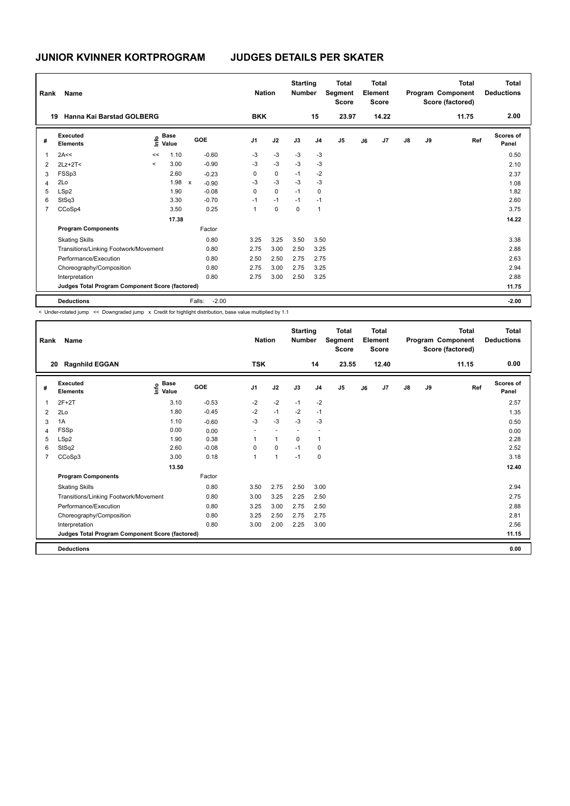| Rank           | Name                                            |         |                       |                         |         | <b>Nation</b>  |             | <b>Starting</b><br><b>Number</b> |                | <b>Total</b><br>Segment<br><b>Score</b> |    | <b>Total</b><br>Element<br><b>Score</b> |               |    | <b>Total</b><br>Program Component<br>Score (factored) | <b>Total</b><br><b>Deductions</b> |
|----------------|-------------------------------------------------|---------|-----------------------|-------------------------|---------|----------------|-------------|----------------------------------|----------------|-----------------------------------------|----|-----------------------------------------|---------------|----|-------------------------------------------------------|-----------------------------------|
| 19             | Hanna Kai Barstad GOLBERG                       |         |                       |                         |         | <b>BKK</b>     |             |                                  | 15             | 23.97                                   |    | 14.22                                   |               |    | 11.75                                                 | 2.00                              |
| #              | Executed<br><b>Elements</b>                     |         | $\sum_{i=1}^{n}$ Base | <b>GOE</b>              |         | J <sub>1</sub> | J2          | J3                               | J <sub>4</sub> | J <sub>5</sub>                          | J6 | J <sub>7</sub>                          | $\mathsf{J}8$ | J9 | Ref                                                   | Scores of<br>Panel                |
| 1              | 2A<<                                            | <<      | 1.10                  | $-0.60$                 |         | $-3$           | $-3$        | $-3$                             | $-3$           |                                         |    |                                         |               |    |                                                       | 0.50                              |
| 2              | $2Lz+2T<$                                       | $\prec$ | 3.00                  | $-0.90$                 |         | $-3$           | $-3$        | $-3$                             | $-3$           |                                         |    |                                         |               |    |                                                       | 2.10                              |
| 3              | FSSp3                                           |         | 2.60                  | $-0.23$                 |         | 0              | 0           | $-1$                             | $-2$           |                                         |    |                                         |               |    |                                                       | 2.37                              |
| $\overline{4}$ | 2Lo                                             |         | 1.98                  | $\mathsf{x}$<br>$-0.90$ |         | $-3$           | $-3$        | $-3$                             | $-3$           |                                         |    |                                         |               |    |                                                       | 1.08                              |
| 5              | LSp2                                            |         | 1.90                  | $-0.08$                 |         | 0              | $\mathbf 0$ | $-1$                             | 0              |                                         |    |                                         |               |    |                                                       | 1.82                              |
| 6              | StSq3                                           |         | 3.30                  | $-0.70$                 |         | $-1$           | $-1$        | $-1$                             | $-1$           |                                         |    |                                         |               |    |                                                       | 2.60                              |
| 7              | CCoSp4                                          |         | 3.50                  | 0.25                    |         | 1              | 0           | 0                                | $\overline{1}$ |                                         |    |                                         |               |    |                                                       | 3.75                              |
|                |                                                 |         | 17.38                 |                         |         |                |             |                                  |                |                                         |    |                                         |               |    |                                                       | 14.22                             |
|                | <b>Program Components</b>                       |         |                       | Factor                  |         |                |             |                                  |                |                                         |    |                                         |               |    |                                                       |                                   |
|                | <b>Skating Skills</b>                           |         |                       | 0.80                    |         | 3.25           | 3.25        | 3.50                             | 3.50           |                                         |    |                                         |               |    |                                                       | 3.38                              |
|                | Transitions/Linking Footwork/Movement           |         |                       | 0.80                    |         | 2.75           | 3.00        | 2.50                             | 3.25           |                                         |    |                                         |               |    |                                                       | 2.88                              |
|                | Performance/Execution                           |         |                       | 0.80                    |         | 2.50           | 2.50        | 2.75                             | 2.75           |                                         |    |                                         |               |    |                                                       | 2.63                              |
|                | Choreography/Composition                        |         |                       | 0.80                    |         | 2.75           | 3.00        | 2.75                             | 3.25           |                                         |    |                                         |               |    |                                                       | 2.94                              |
|                | Interpretation                                  |         |                       | 0.80                    |         | 2.75           | 3.00        | 2.50                             | 3.25           |                                         |    |                                         |               |    |                                                       | 2.88                              |
|                | Judges Total Program Component Score (factored) |         |                       |                         |         |                |             |                                  |                |                                         |    |                                         |               |    |                                                       | 11.75                             |
|                | <b>Deductions</b>                               |         |                       | Falls:                  | $-2.00$ |                |             |                                  |                |                                         |    |                                         |               |    |                                                       | $-2.00$                           |

< Under-rotated jump << Downgraded jump x Credit for highlight distribution, base value multiplied by 1.1

| Rank | Name                                            |                                  |            | <b>Nation</b>  |                | <b>Starting</b><br><b>Number</b> |                          | <b>Total</b><br>Segment<br><b>Score</b> |    | <b>Total</b><br>Element<br><b>Score</b> |               |    | <b>Total</b><br>Program Component<br>Score (factored) | <b>Total</b><br><b>Deductions</b> |
|------|-------------------------------------------------|----------------------------------|------------|----------------|----------------|----------------------------------|--------------------------|-----------------------------------------|----|-----------------------------------------|---------------|----|-------------------------------------------------------|-----------------------------------|
| 20   | <b>Ragnhild EGGAN</b>                           |                                  |            | <b>TSK</b>     |                |                                  | 14                       | 23.55                                   |    | 12.40                                   |               |    | 11.15                                                 | 0.00                              |
| #    | Executed<br><b>Elements</b>                     | <b>Base</b><br>e Base<br>⊆ Value | <b>GOE</b> | J <sub>1</sub> | J2             | J3                               | J <sub>4</sub>           | J <sub>5</sub>                          | J6 | J7                                      | $\mathsf{J}8$ | J9 | Ref                                                   | <b>Scores of</b><br>Panel         |
| 1    | $2F+2T$                                         | 3.10                             | $-0.53$    | $-2$           | $-2$           | $-1$                             | $-2$                     |                                         |    |                                         |               |    |                                                       | 2.57                              |
| 2    | 2Lo                                             | 1.80                             | $-0.45$    | $-2$           | $-1$           | $-2$                             | $-1$                     |                                         |    |                                         |               |    |                                                       | 1.35                              |
| 3    | 1A                                              | 1.10                             | $-0.60$    | $-3$           | $-3$           | $-3$                             | $-3$                     |                                         |    |                                         |               |    |                                                       | 0.50                              |
| 4    | FSSp                                            | 0.00                             | 0.00       |                |                | $\overline{\phantom{a}}$         | $\overline{\phantom{a}}$ |                                         |    |                                         |               |    |                                                       | 0.00                              |
| 5    | LSp2                                            | 1.90                             | 0.38       | 1              | $\overline{1}$ | 0                                | $\mathbf 1$              |                                         |    |                                         |               |    |                                                       | 2.28                              |
| 6    | StSq2                                           | 2.60                             | $-0.08$    | 0              | $\mathbf 0$    | $-1$                             | 0                        |                                         |    |                                         |               |    |                                                       | 2.52                              |
| 7    | CCoSp3                                          | 3.00                             | 0.18       | 1              | $\overline{1}$ | $-1$                             | 0                        |                                         |    |                                         |               |    |                                                       | 3.18                              |
|      |                                                 | 13.50                            |            |                |                |                                  |                          |                                         |    |                                         |               |    |                                                       | 12.40                             |
|      | <b>Program Components</b>                       |                                  | Factor     |                |                |                                  |                          |                                         |    |                                         |               |    |                                                       |                                   |
|      | <b>Skating Skills</b>                           |                                  | 0.80       | 3.50           | 2.75           | 2.50                             | 3.00                     |                                         |    |                                         |               |    |                                                       | 2.94                              |
|      | Transitions/Linking Footwork/Movement           |                                  | 0.80       | 3.00           | 3.25           | 2.25                             | 2.50                     |                                         |    |                                         |               |    |                                                       | 2.75                              |
|      | Performance/Execution                           |                                  | 0.80       | 3.25           | 3.00           | 2.75                             | 2.50                     |                                         |    |                                         |               |    |                                                       | 2.88                              |
|      | Choreography/Composition                        |                                  | 0.80       | 3.25           | 2.50           | 2.75                             | 2.75                     |                                         |    |                                         |               |    |                                                       | 2.81                              |
|      | Interpretation                                  |                                  | 0.80       | 3.00           | 2.00           | 2.25                             | 3.00                     |                                         |    |                                         |               |    |                                                       | 2.56                              |
|      | Judges Total Program Component Score (factored) |                                  |            |                |                |                                  |                          |                                         |    |                                         |               |    |                                                       | 11.15                             |
|      | <b>Deductions</b>                               |                                  |            |                |                |                                  |                          |                                         |    |                                         |               |    |                                                       | 0.00                              |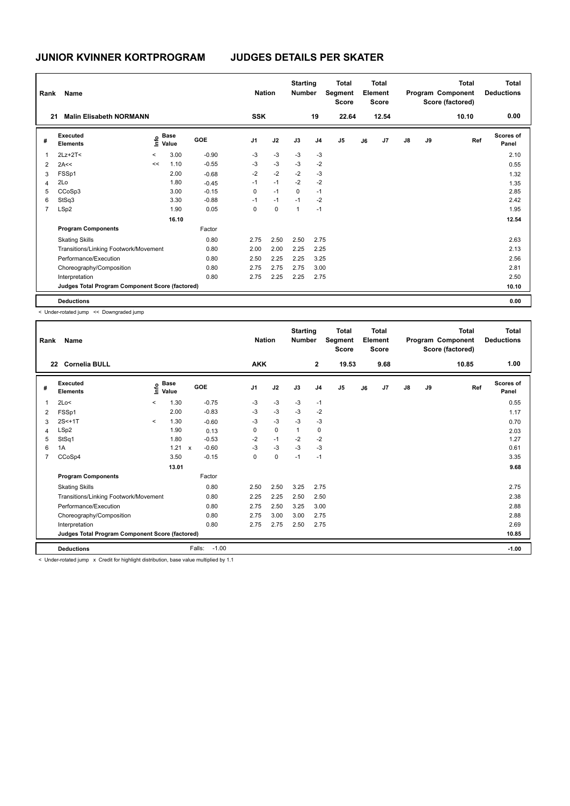| Rank           | Name                                            |         |                      |         | <b>Nation</b>  |           | <b>Starting</b><br><b>Number</b> |                | <b>Total</b><br>Segment<br><b>Score</b> |    | Total<br>Element<br><b>Score</b> |               |    | <b>Total</b><br>Program Component<br>Score (factored) | <b>Total</b><br><b>Deductions</b> |
|----------------|-------------------------------------------------|---------|----------------------|---------|----------------|-----------|----------------------------------|----------------|-----------------------------------------|----|----------------------------------|---------------|----|-------------------------------------------------------|-----------------------------------|
| 21             | <b>Malin Elisabeth NORMANN</b>                  |         |                      |         | <b>SSK</b>     |           |                                  | 19             | 22.64                                   |    | 12.54                            |               |    | 10.10                                                 | 0.00                              |
| #              | Executed<br><b>Elements</b>                     | lnfo    | <b>Base</b><br>Value | GOE     | J <sub>1</sub> | J2        | J3                               | J <sub>4</sub> | J <sub>5</sub>                          | J6 | J7                               | $\mathsf{J}8$ | J9 | Ref                                                   | Scores of<br>Panel                |
| 1              | $2Lz+2T<$                                       | $\prec$ | 3.00                 | $-0.90$ | $-3$           | $-3$      | $-3$                             | $-3$           |                                         |    |                                  |               |    |                                                       | 2.10                              |
| $\overline{2}$ | 2A<<                                            | <<      | 1.10                 | $-0.55$ | -3             | $-3$      | $-3$                             | $-2$           |                                         |    |                                  |               |    |                                                       | 0.55                              |
| 3              | FSSp1                                           |         | 2.00                 | $-0.68$ | $-2$           | $-2$      | $-2$                             | $-3$           |                                         |    |                                  |               |    |                                                       | 1.32                              |
| 4              | 2Lo                                             |         | 1.80                 | $-0.45$ | $-1$           | $-1$      | $-2$                             | $-2$           |                                         |    |                                  |               |    |                                                       | 1.35                              |
| 5              | CCoSp3                                          |         | 3.00                 | $-0.15$ | $\mathbf 0$    | $-1$      | $\mathbf 0$                      | $-1$           |                                         |    |                                  |               |    |                                                       | 2.85                              |
| 6              | StSq3                                           |         | 3.30                 | $-0.88$ | $-1$           | $-1$      | $-1$                             | $-2$           |                                         |    |                                  |               |    |                                                       | 2.42                              |
| $\overline{7}$ | LSp2                                            |         | 1.90                 | 0.05    | 0              | $\pmb{0}$ | $\mathbf{1}$                     | $-1$           |                                         |    |                                  |               |    |                                                       | 1.95                              |
|                |                                                 |         | 16.10                |         |                |           |                                  |                |                                         |    |                                  |               |    |                                                       | 12.54                             |
|                | <b>Program Components</b>                       |         |                      | Factor  |                |           |                                  |                |                                         |    |                                  |               |    |                                                       |                                   |
|                | <b>Skating Skills</b>                           |         |                      | 0.80    | 2.75           | 2.50      | 2.50                             | 2.75           |                                         |    |                                  |               |    |                                                       | 2.63                              |
|                | Transitions/Linking Footwork/Movement           |         |                      | 0.80    | 2.00           | 2.00      | 2.25                             | 2.25           |                                         |    |                                  |               |    |                                                       | 2.13                              |
|                | Performance/Execution                           |         |                      | 0.80    | 2.50           | 2.25      | 2.25                             | 3.25           |                                         |    |                                  |               |    |                                                       | 2.56                              |
|                | Choreography/Composition                        |         |                      | 0.80    | 2.75           | 2.75      | 2.75                             | 3.00           |                                         |    |                                  |               |    |                                                       | 2.81                              |
|                | Interpretation                                  |         |                      | 0.80    | 2.75           | 2.25      | 2.25                             | 2.75           |                                         |    |                                  |               |    |                                                       | 2.50                              |
|                | Judges Total Program Component Score (factored) |         |                      |         |                |           |                                  |                |                                         |    |                                  |               |    |                                                       | 10.10                             |
|                | <b>Deductions</b>                               |         |                      |         |                |           |                                  |                |                                         |    |                                  |               |    |                                                       | 0.00                              |

< Under-rotated jump << Downgraded jump

| Rank           | Name                                            |          |                      |              |                   | <b>Nation</b>  |             | <b>Starting</b><br><b>Number</b> |                | <b>Total</b><br>Segment<br><b>Score</b> |    | <b>Total</b><br>Element<br><b>Score</b> |               |    | <b>Total</b><br>Program Component<br>Score (factored) | <b>Total</b><br><b>Deductions</b> |
|----------------|-------------------------------------------------|----------|----------------------|--------------|-------------------|----------------|-------------|----------------------------------|----------------|-----------------------------------------|----|-----------------------------------------|---------------|----|-------------------------------------------------------|-----------------------------------|
|                | <b>Cornelia BULL</b><br>22                      |          |                      |              |                   | <b>AKK</b>     |             |                                  | $\mathbf{2}$   | 19.53                                   |    | 9.68                                    |               |    | 10.85                                                 | 1.00                              |
| #              | Executed<br><b>Elements</b>                     | Info     | <b>Base</b><br>Value |              | GOE               | J <sub>1</sub> | J2          | J3                               | J <sub>4</sub> | J <sub>5</sub>                          | J6 | J7                                      | $\mathsf{J}8$ | J9 | Ref                                                   | <b>Scores of</b><br>Panel         |
| 1              | 2Lo<                                            | $\prec$  | 1.30                 |              | $-0.75$           | -3             | $-3$        | $-3$                             | $-1$           |                                         |    |                                         |               |    |                                                       | 0.55                              |
| 2              | FSSp1                                           |          | 2.00                 |              | $-0.83$           | $-3$           | $-3$        | $-3$                             | $-2$           |                                         |    |                                         |               |    |                                                       | 1.17                              |
| 3              | $2S < +1T$                                      | $\hat{}$ | 1.30                 |              | $-0.60$           | -3             | $-3$        | $-3$                             | $-3$           |                                         |    |                                         |               |    |                                                       | 0.70                              |
| $\overline{4}$ | LSp2                                            |          | 1.90                 |              | 0.13              | 0              | $\mathbf 0$ | $\mathbf{1}$                     | $\mathbf 0$    |                                         |    |                                         |               |    |                                                       | 2.03                              |
| 5              | StSq1                                           |          | 1.80                 |              | $-0.53$           | $-2$           | $-1$        | $-2$                             | $-2$           |                                         |    |                                         |               |    |                                                       | 1.27                              |
| 6              | 1A                                              |          | 1.21                 | $\mathsf{x}$ | $-0.60$           | $-3$           | $-3$        | $-3$                             | $-3$           |                                         |    |                                         |               |    |                                                       | 0.61                              |
| 7              | CCoSp4                                          |          | 3.50                 |              | $-0.15$           | 0              | $\pmb{0}$   | $-1$                             | $-1$           |                                         |    |                                         |               |    |                                                       | 3.35                              |
|                |                                                 |          | 13.01                |              |                   |                |             |                                  |                |                                         |    |                                         |               |    |                                                       | 9.68                              |
|                | <b>Program Components</b>                       |          |                      |              | Factor            |                |             |                                  |                |                                         |    |                                         |               |    |                                                       |                                   |
|                | <b>Skating Skills</b>                           |          |                      |              | 0.80              | 2.50           | 2.50        | 3.25                             | 2.75           |                                         |    |                                         |               |    |                                                       | 2.75                              |
|                | Transitions/Linking Footwork/Movement           |          |                      |              | 0.80              | 2.25           | 2.25        | 2.50                             | 2.50           |                                         |    |                                         |               |    |                                                       | 2.38                              |
|                | Performance/Execution                           |          |                      |              | 0.80              | 2.75           | 2.50        | 3.25                             | 3.00           |                                         |    |                                         |               |    |                                                       | 2.88                              |
|                | Choreography/Composition                        |          |                      |              | 0.80              | 2.75           | 3.00        | 3.00                             | 2.75           |                                         |    |                                         |               |    |                                                       | 2.88                              |
|                | Interpretation                                  |          |                      |              | 0.80              | 2.75           | 2.75        | 2.50                             | 2.75           |                                         |    |                                         |               |    |                                                       | 2.69                              |
|                | Judges Total Program Component Score (factored) |          |                      |              |                   |                |             |                                  |                |                                         |    |                                         |               |    |                                                       | 10.85                             |
|                | <b>Deductions</b>                               |          |                      |              | $-1.00$<br>Falls: |                |             |                                  |                |                                         |    |                                         |               |    |                                                       | $-1.00$                           |

< Under-rotated jump x Credit for highlight distribution, base value multiplied by 1.1